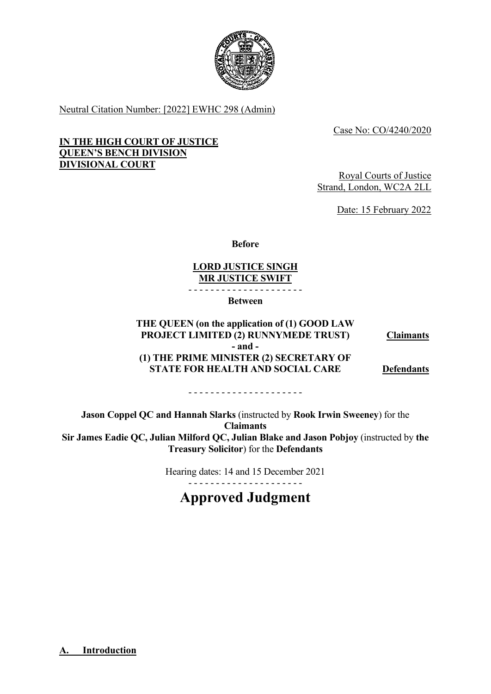

Neutral Citation Number: [2022] EWHC 298 (Admin)

Case No: CO/4240/2020

### **IN THE HIGH COURT OF JUSTICE QUEEN'S BENCH DIVISION DIVISIONAL COURT**

Royal Courts of Justice Strand, London, WC2A 2LL

Date: 15 February 2022

**Before**

#### **LORD JUSTICE SINGH MR JUSTICE SWIFT**

- - - - - - - - - - - - - - - - - - - - -

**Between**

**THE QUEEN (on the application of (1) GOOD LAW PROJECT LIMITED (2) RUNNYMEDE TRUST) Claimants - and - (1) THE PRIME MINISTER (2) SECRETARY OF STATE FOR HEALTH AND SOCIAL CARE Defendants**

- - - - - - - - - - - - - - - - - - - - -

**Jason Coppel QC and Hannah Slarks** (instructed by **Rook Irwin Sweeney**) for the **Claimants Sir James Eadie QC, Julian Milford QC, Julian Blake and Jason Pobjoy** (instructed by **the Treasury Solicitor**) for the **Defendants** 

> Hearing dates: 14 and 15 December 2021 - - - - - - - - - - - - - - - - - - - - -

**Approved Judgment**

**A. Introduction**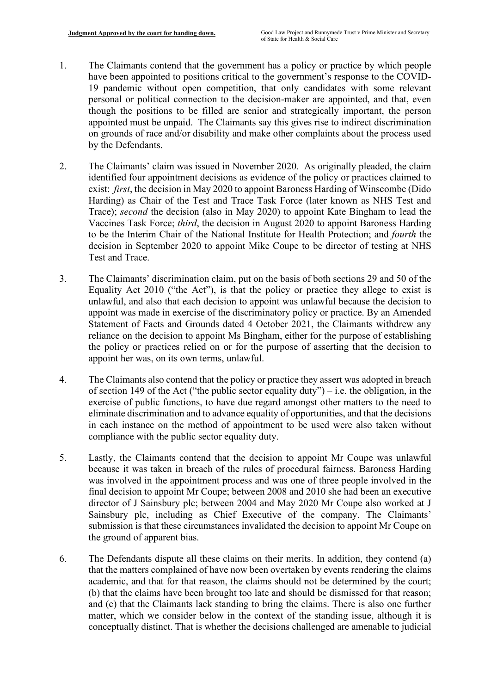- 1. The Claimants contend that the government has a policy or practice by which people have been appointed to positions critical to the government's response to the COVID-19 pandemic without open competition, that only candidates with some relevant personal or political connection to the decision-maker are appointed, and that, even though the positions to be filled are senior and strategically important, the person appointed must be unpaid. The Claimants say this gives rise to indirect discrimination on grounds of race and/or disability and make other complaints about the process used by the Defendants.
- 2. The Claimants' claim was issued in November 2020. As originally pleaded, the claim identified four appointment decisions as evidence of the policy or practices claimed to exist: *first*, the decision in May 2020 to appoint Baroness Harding of Winscombe (Dido Harding) as Chair of the Test and Trace Task Force (later known as NHS Test and Trace); *second* the decision (also in May 2020) to appoint Kate Bingham to lead the Vaccines Task Force; *third*, the decision in August 2020 to appoint Baroness Harding to be the Interim Chair of the National Institute for Health Protection; and *fourth* the decision in September 2020 to appoint Mike Coupe to be director of testing at NHS Test and Trace.
- 3. The Claimants' discrimination claim, put on the basis of both sections 29 and 50 of the Equality Act 2010 ("the Act"), is that the policy or practice they allege to exist is unlawful, and also that each decision to appoint was unlawful because the decision to appoint was made in exercise of the discriminatory policy or practice. By an Amended Statement of Facts and Grounds dated 4 October 2021, the Claimants withdrew any reliance on the decision to appoint Ms Bingham, either for the purpose of establishing the policy or practices relied on or for the purpose of asserting that the decision to appoint her was, on its own terms, unlawful.
- 4. The Claimants also contend that the policy or practice they assert was adopted in breach of section 149 of the Act ("the public sector equality duty") – i.e. the obligation, in the exercise of public functions, to have due regard amongst other matters to the need to eliminate discrimination and to advance equality of opportunities, and that the decisions in each instance on the method of appointment to be used were also taken without compliance with the public sector equality duty.
- 5. Lastly, the Claimants contend that the decision to appoint Mr Coupe was unlawful because it was taken in breach of the rules of procedural fairness. Baroness Harding was involved in the appointment process and was one of three people involved in the final decision to appoint Mr Coupe; between 2008 and 2010 she had been an executive director of J Sainsbury plc; between 2004 and May 2020 Mr Coupe also worked at J Sainsbury plc, including as Chief Executive of the company. The Claimants' submission is that these circumstances invalidated the decision to appoint Mr Coupe on the ground of apparent bias.
- 6. The Defendants dispute all these claims on their merits. In addition, they contend (a) that the matters complained of have now been overtaken by events rendering the claims academic, and that for that reason, the claims should not be determined by the court; (b) that the claims have been brought too late and should be dismissed for that reason; and (c) that the Claimants lack standing to bring the claims. There is also one further matter, which we consider below in the context of the standing issue, although it is conceptually distinct. That is whether the decisions challenged are amenable to judicial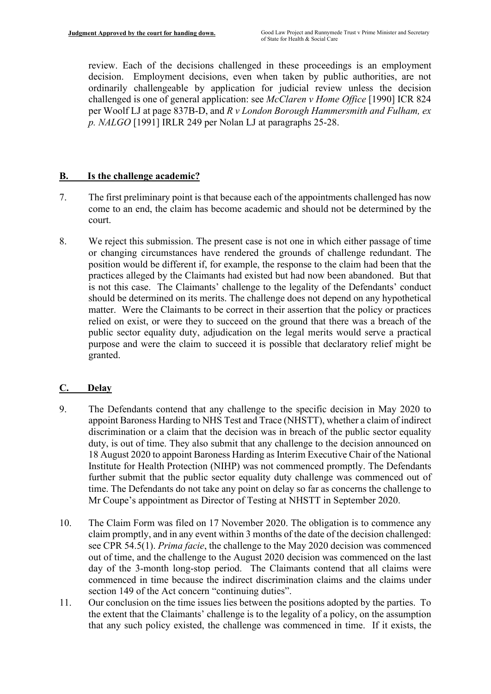review. Each of the decisions challenged in these proceedings is an employment decision. Employment decisions, even when taken by public authorities, are not ordinarily challengeable by application for judicial review unless the decision challenged is one of general application: see *McClaren v Home Office* [1990] ICR 824 per Woolf LJ at page 837B-D, and *R v London Borough Hammersmith and Fulham, ex p. NALGO* [1991] IRLR 249 per Nolan LJ at paragraphs 25-28.

## **B. Is the challenge academic?**

- 7. The first preliminary point is that because each of the appointments challenged has now come to an end, the claim has become academic and should not be determined by the court.
- 8. We reject this submission. The present case is not one in which either passage of time or changing circumstances have rendered the grounds of challenge redundant. The position would be different if, for example, the response to the claim had been that the practices alleged by the Claimants had existed but had now been abandoned. But that is not this case. The Claimants' challenge to the legality of the Defendants' conduct should be determined on its merits. The challenge does not depend on any hypothetical matter. Were the Claimants to be correct in their assertion that the policy or practices relied on exist, or were they to succeed on the ground that there was a breach of the public sector equality duty, adjudication on the legal merits would serve a practical purpose and were the claim to succeed it is possible that declaratory relief might be granted.

# **C. Delay**

- 9. The Defendants contend that any challenge to the specific decision in May 2020 to appoint Baroness Harding to NHS Test and Trace (NHSTT), whether a claim of indirect discrimination or a claim that the decision was in breach of the public sector equality duty, is out of time. They also submit that any challenge to the decision announced on 18 August 2020 to appoint Baroness Harding as Interim Executive Chair of the National Institute for Health Protection (NIHP) was not commenced promptly. The Defendants further submit that the public sector equality duty challenge was commenced out of time. The Defendants do not take any point on delay so far as concerns the challenge to Mr Coupe's appointment as Director of Testing at NHSTT in September 2020.
- 10. The Claim Form was filed on 17 November 2020. The obligation is to commence any claim promptly, and in any event within 3 months of the date of the decision challenged: see CPR 54.5(1). *Prima facie*, the challenge to the May 2020 decision was commenced out of time, and the challenge to the August 2020 decision was commenced on the last day of the 3-month long-stop period. The Claimants contend that all claims were commenced in time because the indirect discrimination claims and the claims under section 149 of the Act concern "continuing duties".
- 11. Our conclusion on the time issues lies between the positions adopted by the parties. To the extent that the Claimants' challenge is to the legality of a policy, on the assumption that any such policy existed, the challenge was commenced in time. If it exists, the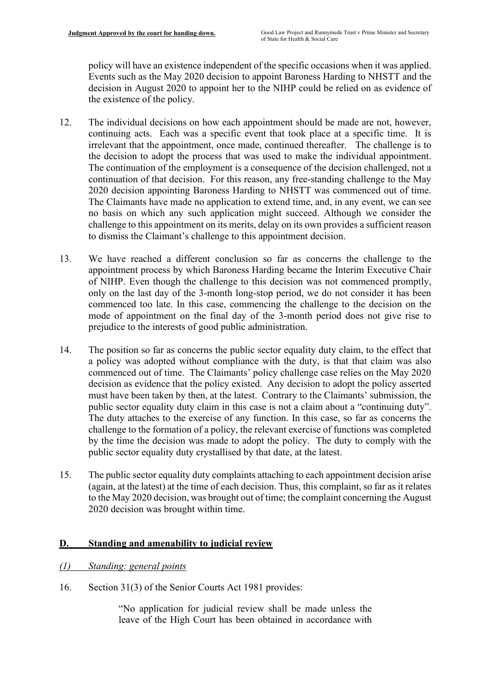policy will have an existence independent of the specific occasions when it was applied. Events such as the May 2020 decision to appoint Baroness Harding to NHSTT and the decision in August 2020 to appoint her to the NIHP could be relied on as evidence of the existence of the policy.

- 12. The individual decisions on how each appointment should be made are not, however, continuing acts. Each was a specific event that took place at a specific time. It is irrelevant that the appointment, once made, continued thereafter. The challenge is to the decision to adopt the process that was used to make the individual appointment. The continuation of the employment is a consequence of the decision challenged, not a continuation of that decision. For this reason, any free-standing challenge to the May 2020 decision appointing Baroness Harding to NHSTT was commenced out of time. The Claimants have made no application to extend time, and, in any event, we can see no basis on which any such application might succeed. Although we consider the challenge to this appointment on its merits, delay on its own provides a sufficient reason to dismiss the Claimant's challenge to this appointment decision.
- 13. We have reached a different conclusion so far as concerns the challenge to the appointment process by which Baroness Harding became the Interim Executive Chair of NIHP. Even though the challenge to this decision was not commenced promptly, only on the last day of the 3-month long-stop period, we do not consider it has been commenced too late. In this case, commencing the challenge to the decision on the mode of appointment on the final day of the 3-month period does not give rise to prejudice to the interests of good public administration.
- 14. The position so far as concerns the public sector equality duty claim, to the effect that a policy was adopted without compliance with the duty, is that that claim was also commenced out of time. The Claimants' policy challenge case relies on the May 2020 decision as evidence that the policy existed. Any decision to adopt the policy asserted must have been taken by then, at the latest. Contrary to the Claimants' submission, the public sector equality duty claim in this case is not a claim about a "continuing duty". The duty attaches to the exercise of any function. In this case, so far as concerns the challenge to the formation of a policy, the relevant exercise of functions was completed by the time the decision was made to adopt the policy. The duty to comply with the public sector equality duty crystallised by that date, at the latest.
- 15. The public sector equality duty complaints attaching to each appointment decision arise (again, at the latest) at the time of each decision. Thus, this complaint, so far as it relates to the May 2020 decision, was brought out of time; the complaint concerning the August 2020 decision was brought within time.

# **D. Standing and amenability to judicial review**

# *(1) Standing: general points*

16. Section 31(3) of the Senior Courts Act 1981 provides:

"No application for judicial review shall be made unless the leave of the High Court has been obtained in accordance with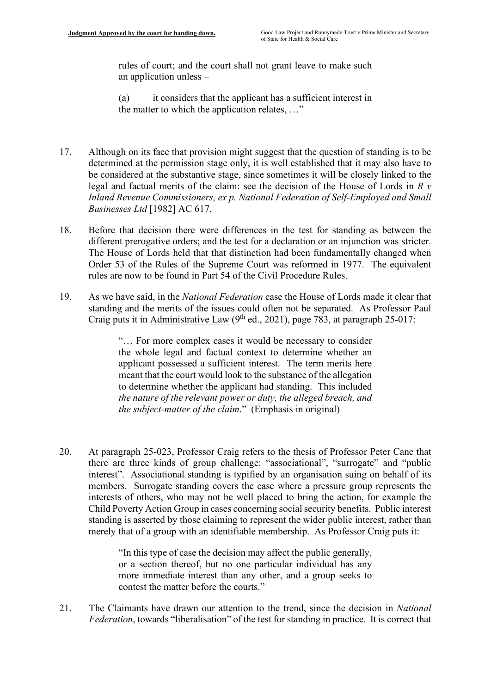rules of court; and the court shall not grant leave to make such an application unless –

(a) it considers that the applicant has a sufficient interest in the matter to which the application relates, …"

- 17. Although on its face that provision might suggest that the question of standing is to be determined at the permission stage only, it is well established that it may also have to be considered at the substantive stage, since sometimes it will be closely linked to the legal and factual merits of the claim: see the decision of the House of Lords in *R v Inland Revenue Commissioners, ex p. National Federation of Self-Employed and Small Businesses Ltd* [1982] AC 617.
- 18. Before that decision there were differences in the test for standing as between the different prerogative orders; and the test for a declaration or an injunction was stricter. The House of Lords held that that distinction had been fundamentally changed when Order 53 of the Rules of the Supreme Court was reformed in 1977. The equivalent rules are now to be found in Part 54 of the Civil Procedure Rules.
- 19. As we have said, in the *National Federation* case the House of Lords made it clear that standing and the merits of the issues could often not be separated. As Professor Paul Craig puts it in Administrative Law  $(9<sup>th</sup>$  ed., 2021), page 783, at paragraph 25-017:

"… For more complex cases it would be necessary to consider the whole legal and factual context to determine whether an applicant possessed a sufficient interest. The term merits here meant that the court would look to the substance of the allegation to determine whether the applicant had standing. This included *the nature of the relevant power or duty, the alleged breach, and the subject-matter of the claim*." (Emphasis in original)

20. At paragraph 25-023, Professor Craig refers to the thesis of Professor Peter Cane that there are three kinds of group challenge: "associational", "surrogate" and "public interest". Associational standing is typified by an organisation suing on behalf of its members. Surrogate standing covers the case where a pressure group represents the interests of others, who may not be well placed to bring the action, for example the Child Poverty Action Group in cases concerning social security benefits. Public interest standing is asserted by those claiming to represent the wider public interest, rather than merely that of a group with an identifiable membership. As Professor Craig puts it:

> "In this type of case the decision may affect the public generally, or a section thereof, but no one particular individual has any more immediate interest than any other, and a group seeks to contest the matter before the courts."

21. The Claimants have drawn our attention to the trend, since the decision in *National Federation*, towards "liberalisation" of the test for standing in practice. It is correct that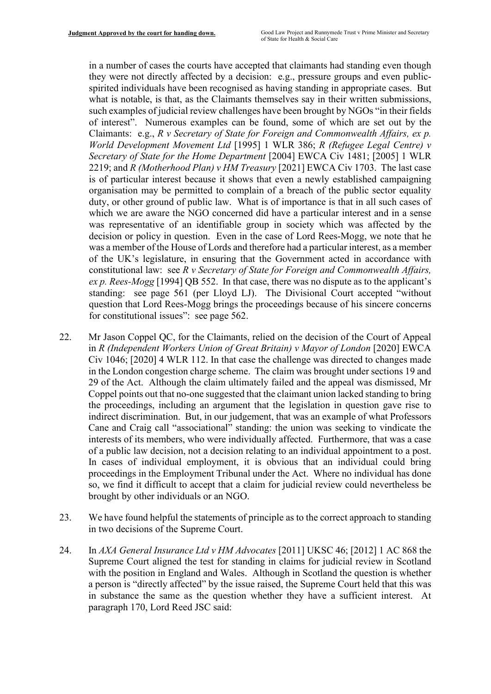in a number of cases the courts have accepted that claimants had standing even though they were not directly affected by a decision: e.g., pressure groups and even publicspirited individuals have been recognised as having standing in appropriate cases. But what is notable, is that, as the Claimants themselves say in their written submissions, such examples of judicial review challenges have been brought by NGOs "in their fields of interest". Numerous examples can be found, some of which are set out by the Claimants: e.g., *R v Secretary of State for Foreign and Commonwealth Affairs, ex p. World Development Movement Ltd* [1995] 1 WLR 386; *R (Refugee Legal Centre) v Secretary of State for the Home Department* [2004] EWCA Civ 1481; [2005] 1 WLR 2219; and *R (Motherhood Plan) v HM Treasury* [2021] EWCA Civ 1703. The last case is of particular interest because it shows that even a newly established campaigning organisation may be permitted to complain of a breach of the public sector equality duty, or other ground of public law. What is of importance is that in all such cases of which we are aware the NGO concerned did have a particular interest and in a sense was representative of an identifiable group in society which was affected by the decision or policy in question. Even in the case of Lord Rees-Mogg, we note that he was a member of the House of Lords and therefore had a particular interest, as a member of the UK's legislature, in ensuring that the Government acted in accordance with constitutional law: see *R v Secretary of State for Foreign and Commonwealth Affairs, ex p. Rees-Mogg* [1994] QB 552. In that case, there was no dispute as to the applicant's standing: see page 561 (per Lloyd LJ). The Divisional Court accepted "without question that Lord Rees-Mogg brings the proceedings because of his sincere concerns for constitutional issues": see page 562.

- 22. Mr Jason Coppel QC, for the Claimants, relied on the decision of the Court of Appeal in *R (Independent Workers Union of Great Britain) v Mayor of London* [2020] EWCA Civ 1046; [2020] 4 WLR 112. In that case the challenge was directed to changes made in the London congestion charge scheme. The claim was brought under sections 19 and 29 of the Act. Although the claim ultimately failed and the appeal was dismissed, Mr Coppel points out that no-one suggested that the claimant union lacked standing to bring the proceedings, including an argument that the legislation in question gave rise to indirect discrimination. But, in our judgement, that was an example of what Professors Cane and Craig call "associational" standing: the union was seeking to vindicate the interests of its members, who were individually affected. Furthermore, that was a case of a public law decision, not a decision relating to an individual appointment to a post. In cases of individual employment, it is obvious that an individual could bring proceedings in the Employment Tribunal under the Act. Where no individual has done so, we find it difficult to accept that a claim for judicial review could nevertheless be brought by other individuals or an NGO.
- 23. We have found helpful the statements of principle as to the correct approach to standing in two decisions of the Supreme Court.
- 24. In *AXA General Insurance Ltd v HM Advocates* [2011] UKSC 46; [2012] 1 AC 868 the Supreme Court aligned the test for standing in claims for judicial review in Scotland with the position in England and Wales. Although in Scotland the question is whether a person is "directly affected" by the issue raised, the Supreme Court held that this was in substance the same as the question whether they have a sufficient interest. At paragraph 170, Lord Reed JSC said: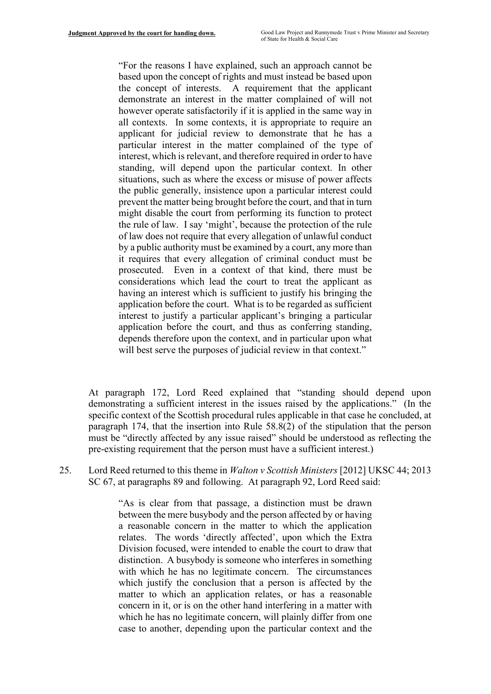"For the reasons I have explained, such an approach cannot be based upon the concept of rights and must instead be based upon the concept of interests. A requirement that the applicant demonstrate an interest in the matter complained of will not however operate satisfactorily if it is applied in the same way in all contexts. In some contexts, it is appropriate to require an applicant for judicial review to demonstrate that he has a particular interest in the matter complained of the type of interest, which is relevant, and therefore required in order to have standing, will depend upon the particular context. In other situations, such as where the excess or misuse of power affects the public generally, insistence upon a particular interest could prevent the matter being brought before the court, and that in turn might disable the court from performing its function to protect the rule of law. I say 'might', because the protection of the rule of law does not require that every allegation of unlawful conduct by a public authority must be examined by a court, any more than it requires that every allegation of criminal conduct must be prosecuted. Even in a context of that kind, there must be considerations which lead the court to treat the applicant as having an interest which is sufficient to justify his bringing the application before the court. What is to be regarded as sufficient interest to justify a particular applicant's bringing a particular application before the court, and thus as conferring standing, depends therefore upon the context, and in particular upon what will best serve the purposes of judicial review in that context."

At paragraph 172, Lord Reed explained that "standing should depend upon demonstrating a sufficient interest in the issues raised by the applications." (In the specific context of the Scottish procedural rules applicable in that case he concluded, at paragraph 174, that the insertion into Rule 58.8(2) of the stipulation that the person must be "directly affected by any issue raised" should be understood as reflecting the pre-existing requirement that the person must have a sufficient interest.)

25. Lord Reed returned to this theme in *Walton v Scottish Ministers* [2012] UKSC 44; 2013 SC 67, at paragraphs 89 and following. At paragraph 92, Lord Reed said:

> "As is clear from that passage, a distinction must be drawn between the mere busybody and the person affected by or having a reasonable concern in the matter to which the application relates. The words 'directly affected', upon which the Extra Division focused, were intended to enable the court to draw that distinction. A busybody is someone who interferes in something with which he has no legitimate concern. The circumstances which justify the conclusion that a person is affected by the matter to which an application relates, or has a reasonable concern in it, or is on the other hand interfering in a matter with which he has no legitimate concern, will plainly differ from one case to another, depending upon the particular context and the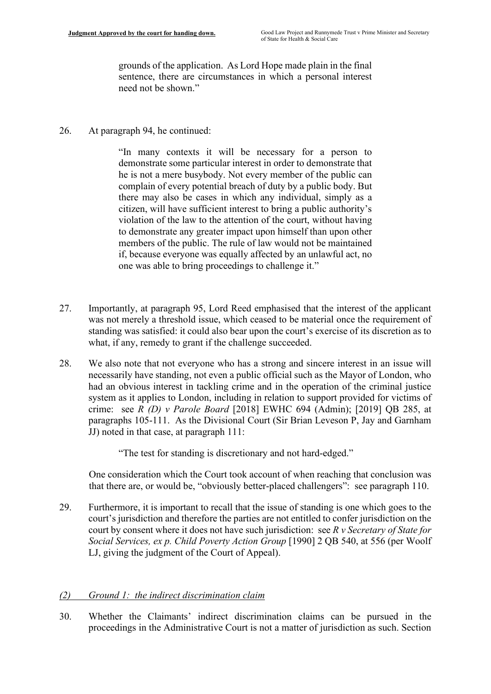grounds of the application. As Lord Hope made plain in the final sentence, there are circumstances in which a personal interest need not be shown."

26. At paragraph 94, he continued:

"In many contexts it will be necessary for a person to demonstrate some particular interest in order to demonstrate that he is not a mere busybody. Not every member of the public can complain of every potential breach of duty by a public body. But there may also be cases in which any individual, simply as a citizen, will have sufficient interest to bring a public authority's violation of the law to the attention of the court, without having to demonstrate any greater impact upon himself than upon other members of the public. The rule of law would not be maintained if, because everyone was equally affected by an unlawful act, no one was able to bring proceedings to challenge it."

- 27. Importantly, at paragraph 95, Lord Reed emphasised that the interest of the applicant was not merely a threshold issue, which ceased to be material once the requirement of standing was satisfied: it could also bear upon the court's exercise of its discretion as to what, if any, remedy to grant if the challenge succeeded.
- 28. We also note that not everyone who has a strong and sincere interest in an issue will necessarily have standing, not even a public official such as the Mayor of London, who had an obvious interest in tackling crime and in the operation of the criminal justice system as it applies to London, including in relation to support provided for victims of crime: see *R (D) v Parole Board* [2018] EWHC 694 (Admin); [2019] QB 285, at paragraphs 105-111. As the Divisional Court (Sir Brian Leveson P, Jay and Garnham JJ) noted in that case, at paragraph 111:

"The test for standing is discretionary and not hard-edged."

One consideration which the Court took account of when reaching that conclusion was that there are, or would be, "obviously better-placed challengers": see paragraph 110.

29. Furthermore, it is important to recall that the issue of standing is one which goes to the court's jurisdiction and therefore the parties are not entitled to confer jurisdiction on the court by consent where it does not have such jurisdiction: see *R v Secretary of State for Social Services, ex p. Child Poverty Action Group* [1990] 2 QB 540, at 556 (per Woolf LJ, giving the judgment of the Court of Appeal).

# *(2) Ground 1: the indirect discrimination claim*

30. Whether the Claimants' indirect discrimination claims can be pursued in the proceedings in the Administrative Court is not a matter of jurisdiction as such. Section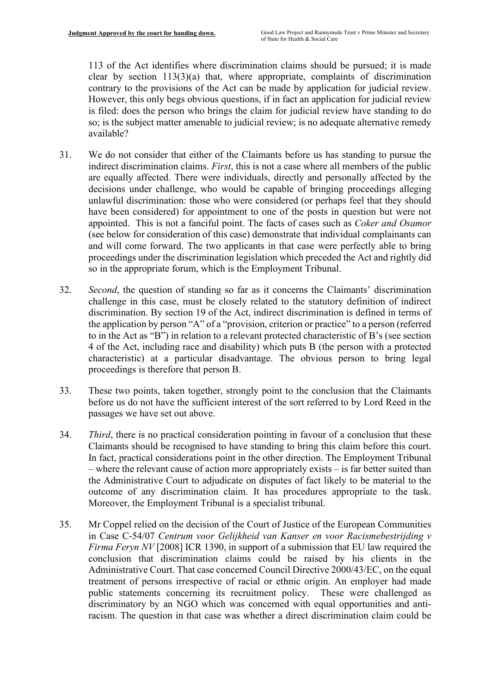113 of the Act identifies where discrimination claims should be pursued; it is made clear by section  $113(3)(a)$  that, where appropriate, complaints of discrimination contrary to the provisions of the Act can be made by application for judicial review. However, this only begs obvious questions, if in fact an application for judicial review is filed: does the person who brings the claim for judicial review have standing to do so; is the subject matter amenable to judicial review; is no adequate alternative remedy available?

- 31. We do not consider that either of the Claimants before us has standing to pursue the indirect discrimination claims. *First*, this is not a case where all members of the public are equally affected. There were individuals, directly and personally affected by the decisions under challenge, who would be capable of bringing proceedings alleging unlawful discrimination: those who were considered (or perhaps feel that they should have been considered) for appointment to one of the posts in question but were not appointed. This is not a fanciful point. The facts of cases such as *Coker and Osamor* (see below for consideration of this case) demonstrate that individual complainants can and will come forward. The two applicants in that case were perfectly able to bring proceedings under the discrimination legislation which preceded the Act and rightly did so in the appropriate forum, which is the Employment Tribunal.
- 32. *Second*, the question of standing so far as it concerns the Claimants' discrimination challenge in this case, must be closely related to the statutory definition of indirect discrimination. By section 19 of the Act, indirect discrimination is defined in terms of the application by person "A" of a "provision, criterion or practice" to a person (referred to in the Act as "B") in relation to a relevant protected characteristic of B's (see section 4 of the Act, including race and disability) which puts B (the person with a protected characteristic) at a particular disadvantage. The obvious person to bring legal proceedings is therefore that person B.
- 33. These two points, taken together, strongly point to the conclusion that the Claimants before us do not have the sufficient interest of the sort referred to by Lord Reed in the passages we have set out above.
- 34. *Third*, there is no practical consideration pointing in favour of a conclusion that these Claimants should be recognised to have standing to bring this claim before this court. In fact, practical considerations point in the other direction. The Employment Tribunal – where the relevant cause of action more appropriately exists – is far better suited than the Administrative Court to adjudicate on disputes of fact likely to be material to the outcome of any discrimination claim. It has procedures appropriate to the task. Moreover, the Employment Tribunal is a specialist tribunal.
- 35. Mr Coppel relied on the decision of the Court of Justice of the European Communities in Case C-54/07 *Centrum voor Gelijkheid van Kanser en voor Racismebestrijding v Firma Feryn NV* [2008] ICR 1390, in support of a submission that EU law required the conclusion that discrimination claims could be raised by his clients in the Administrative Court. That case concerned Council Directive 2000/43/EC, on the equal treatment of persons irrespective of racial or ethnic origin. An employer had made public statements concerning its recruitment policy. These were challenged as discriminatory by an NGO which was concerned with equal opportunities and antiracism. The question in that case was whether a direct discrimination claim could be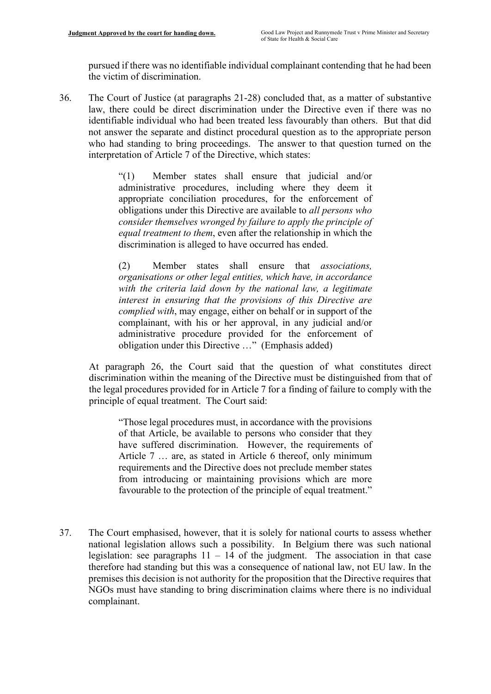pursued if there was no identifiable individual complainant contending that he had been the victim of discrimination.

36. The Court of Justice (at paragraphs 21-28) concluded that, as a matter of substantive law, there could be direct discrimination under the Directive even if there was no identifiable individual who had been treated less favourably than others. But that did not answer the separate and distinct procedural question as to the appropriate person who had standing to bring proceedings. The answer to that question turned on the interpretation of Article 7 of the Directive, which states:

> "(1) Member states shall ensure that judicial and/or administrative procedures, including where they deem it appropriate conciliation procedures, for the enforcement of obligations under this Directive are available to *all persons who consider themselves wronged by failure to apply the principle of equal treatment to them*, even after the relationship in which the discrimination is alleged to have occurred has ended.

> (2) Member states shall ensure that *associations, organisations or other legal entities, which have, in accordance with the criteria laid down by the national law, a legitimate interest in ensuring that the provisions of this Directive are complied with*, may engage, either on behalf or in support of the complainant, with his or her approval, in any judicial and/or administrative procedure provided for the enforcement of obligation under this Directive …" (Emphasis added)

At paragraph 26, the Court said that the question of what constitutes direct discrimination within the meaning of the Directive must be distinguished from that of the legal procedures provided for in Article 7 for a finding of failure to comply with the principle of equal treatment. The Court said:

"Those legal procedures must, in accordance with the provisions of that Article, be available to persons who consider that they have suffered discrimination. However, the requirements of Article 7 … are, as stated in Article 6 thereof, only minimum requirements and the Directive does not preclude member states from introducing or maintaining provisions which are more favourable to the protection of the principle of equal treatment."

37. The Court emphasised, however, that it is solely for national courts to assess whether national legislation allows such a possibility. In Belgium there was such national legislation: see paragraphs  $11 - 14$  of the judgment. The association in that case therefore had standing but this was a consequence of national law, not EU law. In the premises this decision is not authority for the proposition that the Directive requires that NGOs must have standing to bring discrimination claims where there is no individual complainant.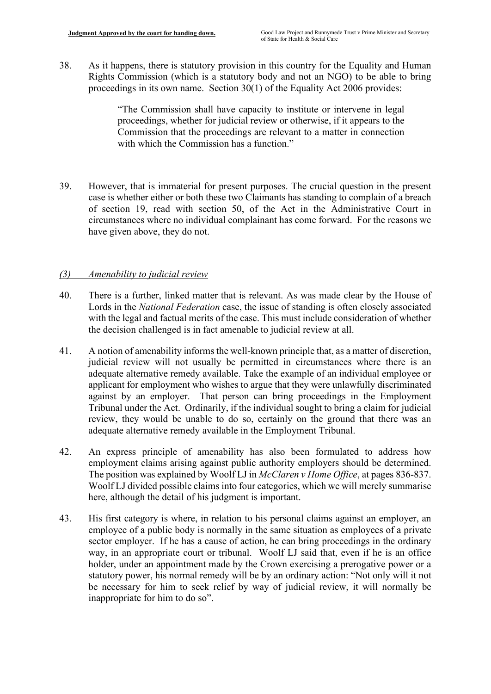38. As it happens, there is statutory provision in this country for the Equality and Human Rights Commission (which is a statutory body and not an NGO) to be able to bring proceedings in its own name. Section 30(1) of the Equality Act 2006 provides:

> "The Commission shall have capacity to institute or intervene in legal proceedings, whether for judicial review or otherwise, if it appears to the Commission that the proceedings are relevant to a matter in connection with which the Commission has a function."

39. However, that is immaterial for present purposes. The crucial question in the present case is whether either or both these two Claimants has standing to complain of a breach of section 19, read with section 50, of the Act in the Administrative Court in circumstances where no individual complainant has come forward. For the reasons we have given above, they do not.

## *(3) Amenability to judicial review*

- 40. There is a further, linked matter that is relevant. As was made clear by the House of Lords in the *National Federation* case, the issue of standing is often closely associated with the legal and factual merits of the case. This must include consideration of whether the decision challenged is in fact amenable to judicial review at all.
- 41. A notion of amenability informs the well-known principle that, as a matter of discretion, judicial review will not usually be permitted in circumstances where there is an adequate alternative remedy available. Take the example of an individual employee or applicant for employment who wishes to argue that they were unlawfully discriminated against by an employer. That person can bring proceedings in the Employment Tribunal under the Act. Ordinarily, if the individual sought to bring a claim for judicial review, they would be unable to do so, certainly on the ground that there was an adequate alternative remedy available in the Employment Tribunal.
- 42. An express principle of amenability has also been formulated to address how employment claims arising against public authority employers should be determined. The position was explained by Woolf LJ in *McClaren v Home Office*, at pages 836-837. Woolf LJ divided possible claims into four categories, which we will merely summarise here, although the detail of his judgment is important.
- 43. His first category is where, in relation to his personal claims against an employer, an employee of a public body is normally in the same situation as employees of a private sector employer. If he has a cause of action, he can bring proceedings in the ordinary way, in an appropriate court or tribunal. Woolf LJ said that, even if he is an office holder, under an appointment made by the Crown exercising a prerogative power or a statutory power, his normal remedy will be by an ordinary action: "Not only will it not be necessary for him to seek relief by way of judicial review, it will normally be inappropriate for him to do so".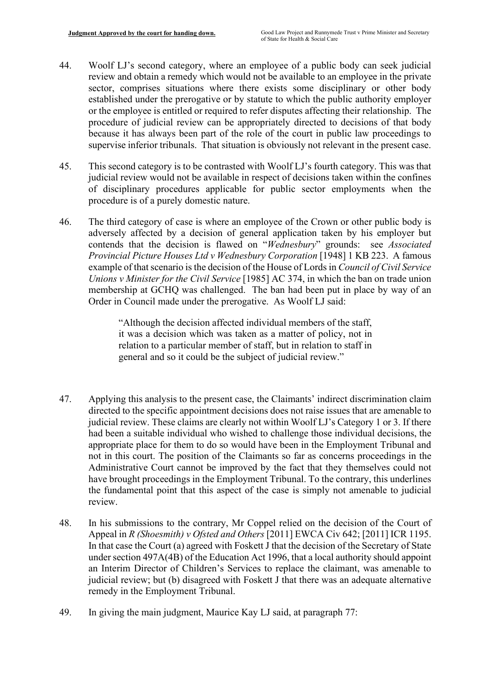- 44. Woolf LJ's second category, where an employee of a public body can seek judicial review and obtain a remedy which would not be available to an employee in the private sector, comprises situations where there exists some disciplinary or other body established under the prerogative or by statute to which the public authority employer or the employee is entitled or required to refer disputes affecting their relationship. The procedure of judicial review can be appropriately directed to decisions of that body because it has always been part of the role of the court in public law proceedings to supervise inferior tribunals. That situation is obviously not relevant in the present case.
- 45. This second category is to be contrasted with Woolf LJ's fourth category. This was that judicial review would not be available in respect of decisions taken within the confines of disciplinary procedures applicable for public sector employments when the procedure is of a purely domestic nature.
- 46. The third category of case is where an employee of the Crown or other public body is adversely affected by a decision of general application taken by his employer but contends that the decision is flawed on "*Wednesbury*" grounds: see *Associated Provincial Picture Houses Ltd v Wednesbury Corporation* [1948] 1 KB 223. A famous example of that scenario is the decision of the House of Lords in *Council of Civil Service Unions v Minister for the Civil Service* [1985] AC 374, in which the ban on trade union membership at GCHQ was challenged. The ban had been put in place by way of an Order in Council made under the prerogative. As Woolf LJ said:

"Although the decision affected individual members of the staff, it was a decision which was taken as a matter of policy, not in relation to a particular member of staff, but in relation to staff in general and so it could be the subject of judicial review."

- 47. Applying this analysis to the present case, the Claimants' indirect discrimination claim directed to the specific appointment decisions does not raise issues that are amenable to judicial review. These claims are clearly not within Woolf LJ's Category 1 or 3. If there had been a suitable individual who wished to challenge those individual decisions, the appropriate place for them to do so would have been in the Employment Tribunal and not in this court. The position of the Claimants so far as concerns proceedings in the Administrative Court cannot be improved by the fact that they themselves could not have brought proceedings in the Employment Tribunal. To the contrary, this underlines the fundamental point that this aspect of the case is simply not amenable to judicial review.
- 48. In his submissions to the contrary, Mr Coppel relied on the decision of the Court of Appeal in *R (Shoesmith) v Ofsted and Others* [2011] EWCA Civ 642; [2011] ICR 1195. In that case the Court (a) agreed with Foskett J that the decision of the Secretary of State under section 497A(4B) of the Education Act 1996, that a local authority should appoint an Interim Director of Children's Services to replace the claimant, was amenable to judicial review; but (b) disagreed with Foskett J that there was an adequate alternative remedy in the Employment Tribunal.
- 49. In giving the main judgment, Maurice Kay LJ said, at paragraph 77: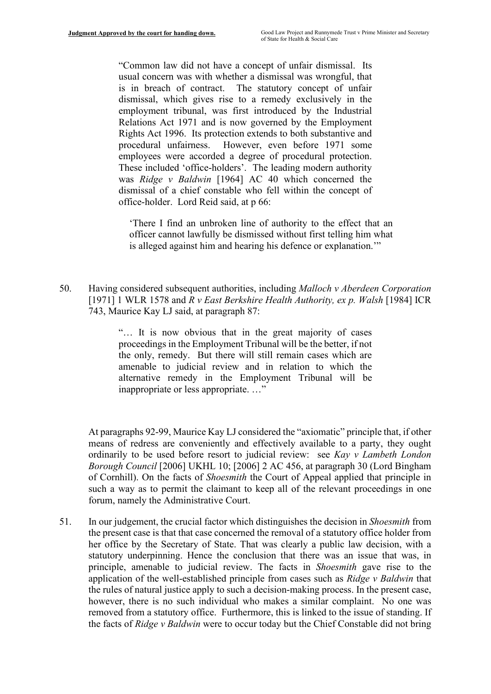"Common law did not have a concept of unfair dismissal. Its usual concern was with whether a dismissal was wrongful, that is in breach of contract. The statutory concept of unfair dismissal, which gives rise to a remedy exclusively in the employment tribunal, was first introduced by the Industrial Relations Act 1971 and is now governed by the Employment Rights Act 1996. Its protection extends to both substantive and procedural unfairness. However, even before 1971 some employees were accorded a degree of procedural protection. These included 'office-holders'. The leading modern authority was *Ridge v Baldwin* [1964] AC 40 which concerned the dismissal of a chief constable who fell within the concept of office-holder. Lord Reid said, at p 66:

'There I find an unbroken line of authority to the effect that an officer cannot lawfully be dismissed without first telling him what is alleged against him and hearing his defence or explanation.'"

50. Having considered subsequent authorities, including *Malloch v Aberdeen Corporation*  [1971] 1 WLR 1578 and *R v East Berkshire Health Authority, ex p. Walsh* [1984] ICR 743, Maurice Kay LJ said, at paragraph 87:

> "… It is now obvious that in the great majority of cases proceedings in the Employment Tribunal will be the better, if not the only, remedy. But there will still remain cases which are amenable to judicial review and in relation to which the alternative remedy in the Employment Tribunal will be inappropriate or less appropriate. …"

At paragraphs 92-99, Maurice Kay LJ considered the "axiomatic" principle that, if other means of redress are conveniently and effectively available to a party, they ought ordinarily to be used before resort to judicial review: see *Kay v Lambeth London Borough Council* [2006] UKHL 10; [2006] 2 AC 456, at paragraph 30 (Lord Bingham of Cornhill). On the facts of *Shoesmith* the Court of Appeal applied that principle in such a way as to permit the claimant to keep all of the relevant proceedings in one forum, namely the Administrative Court.

51. In our judgement, the crucial factor which distinguishes the decision in *Shoesmith* from the present case is that that case concerned the removal of a statutory office holder from her office by the Secretary of State. That was clearly a public law decision, with a statutory underpinning. Hence the conclusion that there was an issue that was, in principle, amenable to judicial review. The facts in *Shoesmith* gave rise to the application of the well-established principle from cases such as *Ridge v Baldwin* that the rules of natural justice apply to such a decision-making process. In the present case, however, there is no such individual who makes a similar complaint. No one was removed from a statutory office. Furthermore, this is linked to the issue of standing. If the facts of *Ridge v Baldwin* were to occur today but the Chief Constable did not bring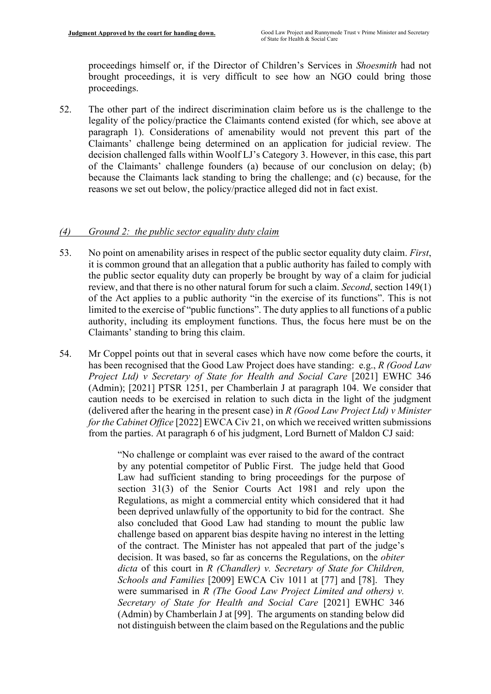proceedings himself or, if the Director of Children's Services in *Shoesmith* had not brought proceedings, it is very difficult to see how an NGO could bring those proceedings.

52. The other part of the indirect discrimination claim before us is the challenge to the legality of the policy/practice the Claimants contend existed (for which, see above at paragraph 1). Considerations of amenability would not prevent this part of the Claimants' challenge being determined on an application for judicial review. The decision challenged falls within Woolf LJ's Category 3. However, in this case, this part of the Claimants' challenge founders (a) because of our conclusion on delay; (b) because the Claimants lack standing to bring the challenge; and (c) because, for the reasons we set out below, the policy/practice alleged did not in fact exist.

#### *(4) Ground 2: the public sector equality duty claim*

- 53. No point on amenability arises in respect of the public sector equality duty claim. *First*, it is common ground that an allegation that a public authority has failed to comply with the public sector equality duty can properly be brought by way of a claim for judicial review, and that there is no other natural forum for such a claim. *Second*, section 149(1) of the Act applies to a public authority "in the exercise of its functions". This is not limited to the exercise of "public functions". The duty applies to all functions of a public authority, including its employment functions. Thus, the focus here must be on the Claimants' standing to bring this claim.
- 54. Mr Coppel points out that in several cases which have now come before the courts, it has been recognised that the Good Law Project does have standing: e.g., *R (Good Law Project Ltd) v Secretary of State for Health and Social Care* [2021] EWHC 346 (Admin); [2021] PTSR 1251, per Chamberlain J at paragraph 104. We consider that caution needs to be exercised in relation to such dicta in the light of the judgment (delivered after the hearing in the present case) in *R (Good Law Project Ltd) v Minister for the Cabinet Office* [2022] EWCA Civ 21, on which we received written submissions from the parties. At paragraph 6 of his judgment, Lord Burnett of Maldon CJ said:

"No challenge or complaint was ever raised to the award of the contract by any potential competitor of Public First. The judge held that Good Law had sufficient standing to bring proceedings for the purpose of section 31(3) of the Senior Courts Act 1981 and rely upon the Regulations, as might a commercial entity which considered that it had been deprived unlawfully of the opportunity to bid for the contract. She also concluded that Good Law had standing to mount the public law challenge based on apparent bias despite having no interest in the letting of the contract. The Minister has not appealed that part of the judge's decision. It was based, so far as concerns the Regulations, on the *obiter dicta* of this court in *R (Chandler) v. Secretary of State for Children, Schools and Families* [2009] EWCA Civ 1011 at [77] and [78]. They were summarised in *R (The Good Law Project Limited and others) v. Secretary of State for Health and Social Care* [2021] EWHC 346 (Admin) by Chamberlain J at [99]. The arguments on standing below did not distinguish between the claim based on the Regulations and the public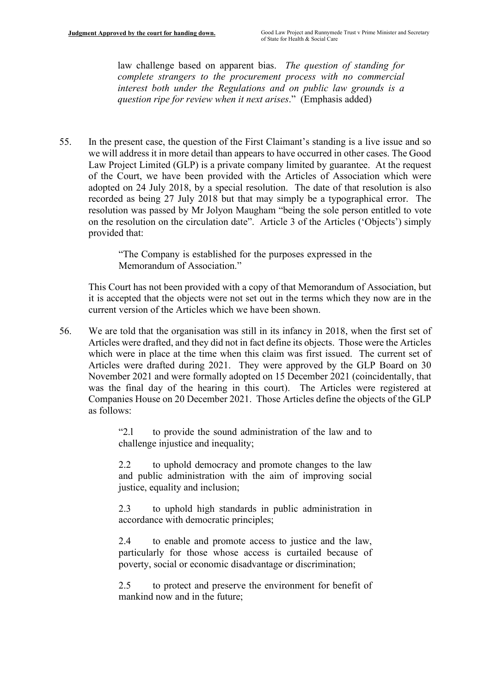law challenge based on apparent bias. *The question of standing for complete strangers to the procurement process with no commercial interest both under the Regulations and on public law grounds is a question ripe for review when it next arises*." (Emphasis added)

55. In the present case, the question of the First Claimant's standing is a live issue and so we will address it in more detail than appears to have occurred in other cases. The Good Law Project Limited (GLP) is a private company limited by guarantee. At the request of the Court, we have been provided with the Articles of Association which were adopted on 24 July 2018, by a special resolution. The date of that resolution is also recorded as being 27 July 2018 but that may simply be a typographical error. The resolution was passed by Mr Jolyon Maugham "being the sole person entitled to vote on the resolution on the circulation date". Article 3 of the Articles ('Objects') simply provided that:

> "The Company is established for the purposes expressed in the Memorandum of Association."

This Court has not been provided with a copy of that Memorandum of Association, but it is accepted that the objects were not set out in the terms which they now are in the current version of the Articles which we have been shown.

56. We are told that the organisation was still in its infancy in 2018, when the first set of Articles were drafted, and they did not in fact define its objects. Those were the Articles which were in place at the time when this claim was first issued. The current set of Articles were drafted during 2021. They were approved by the GLP Board on 30 November 2021 and were formally adopted on 15 December 2021 (coincidentally, that was the final day of the hearing in this court). The Articles were registered at Companies House on 20 December 2021. Those Articles define the objects of the GLP as follows:

> "2.l to provide the sound administration of the law and to challenge injustice and inequality;

> 2.2 to uphold democracy and promote changes to the law and public administration with the aim of improving social justice, equality and inclusion;

> 2.3 to uphold high standards in public administration in accordance with democratic principles;

> 2.4 to enable and promote access to justice and the law, particularly for those whose access is curtailed because of poverty, social or economic disadvantage or discrimination;

> 2.5 to protect and preserve the environment for benefit of mankind now and in the future;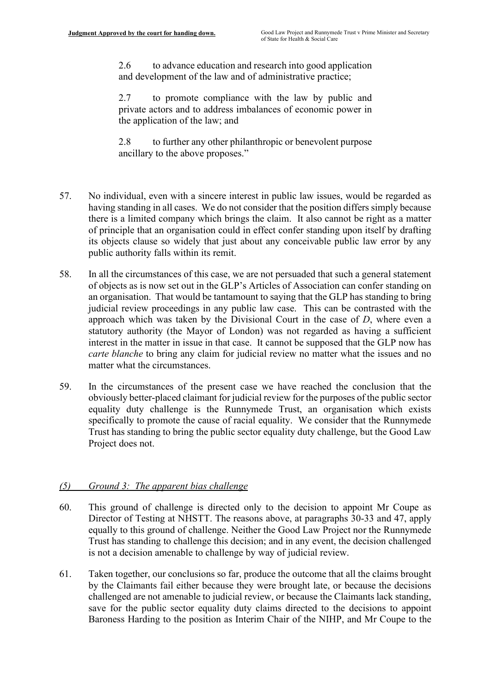2.6 to advance education and research into good application and development of the law and of administrative practice;

2.7 to promote compliance with the law by public and private actors and to address imbalances of economic power in the application of the law; and

2.8 to further any other philanthropic or benevolent purpose ancillary to the above proposes."

- 57. No individual, even with a sincere interest in public law issues, would be regarded as having standing in all cases. We do not consider that the position differs simply because there is a limited company which brings the claim. It also cannot be right as a matter of principle that an organisation could in effect confer standing upon itself by drafting its objects clause so widely that just about any conceivable public law error by any public authority falls within its remit.
- 58. In all the circumstances of this case, we are not persuaded that such a general statement of objects as is now set out in the GLP's Articles of Association can confer standing on an organisation. That would be tantamount to saying that the GLP has standing to bring judicial review proceedings in any public law case. This can be contrasted with the approach which was taken by the Divisional Court in the case of *D*, where even a statutory authority (the Mayor of London) was not regarded as having a sufficient interest in the matter in issue in that case. It cannot be supposed that the GLP now has *carte blanche* to bring any claim for judicial review no matter what the issues and no matter what the circumstances.
- 59. In the circumstances of the present case we have reached the conclusion that the obviously better-placed claimant for judicial review for the purposes of the public sector equality duty challenge is the Runnymede Trust, an organisation which exists specifically to promote the cause of racial equality. We consider that the Runnymede Trust has standing to bring the public sector equality duty challenge, but the Good Law Project does not.

## *(5) Ground 3: The apparent bias challenge*

- 60. This ground of challenge is directed only to the decision to appoint Mr Coupe as Director of Testing at NHSTT. The reasons above, at paragraphs 30-33 and 47, apply equally to this ground of challenge. Neither the Good Law Project nor the Runnymede Trust has standing to challenge this decision; and in any event, the decision challenged is not a decision amenable to challenge by way of judicial review.
- 61. Taken together, our conclusions so far, produce the outcome that all the claims brought by the Claimants fail either because they were brought late, or because the decisions challenged are not amenable to judicial review, or because the Claimants lack standing, save for the public sector equality duty claims directed to the decisions to appoint Baroness Harding to the position as Interim Chair of the NIHP, and Mr Coupe to the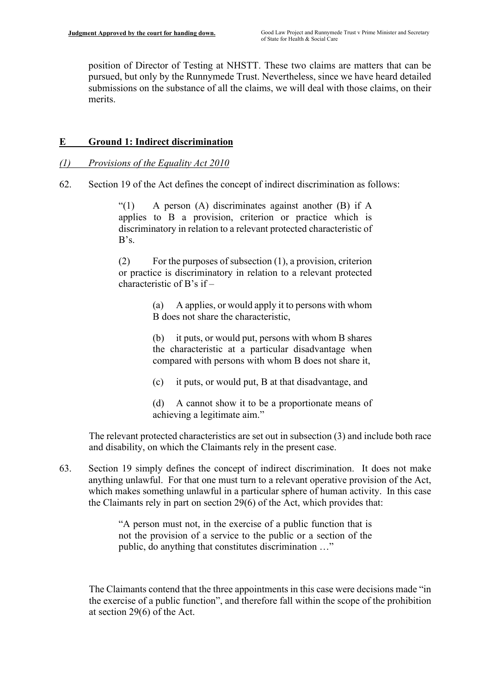position of Director of Testing at NHSTT. These two claims are matters that can be pursued, but only by the Runnymede Trust. Nevertheless, since we have heard detailed submissions on the substance of all the claims, we will deal with those claims, on their merits.

## **E Ground 1: Indirect discrimination**

## *(1) Provisions of the Equality Act 2010*

62. Section 19 of the Act defines the concept of indirect discrimination as follows:

"(1) A person (A) discriminates against another (B) if A applies to B a provision, criterion or practice which is discriminatory in relation to a relevant protected characteristic of B's.

(2) For the purposes of subsection (1), a provision, criterion or practice is discriminatory in relation to a relevant protected characteristic of B's if –

> (a) A applies, or would apply it to persons with whom B does not share the characteristic,

> (b) it puts, or would put, persons with whom B shares the characteristic at a particular disadvantage when compared with persons with whom B does not share it,

(c) it puts, or would put, B at that disadvantage, and

(d) A cannot show it to be a proportionate means of achieving a legitimate aim."

The relevant protected characteristics are set out in subsection (3) and include both race and disability, on which the Claimants rely in the present case.

63. Section 19 simply defines the concept of indirect discrimination. It does not make anything unlawful. For that one must turn to a relevant operative provision of the Act, which makes something unlawful in a particular sphere of human activity. In this case the Claimants rely in part on section 29(6) of the Act, which provides that:

> "A person must not, in the exercise of a public function that is not the provision of a service to the public or a section of the public, do anything that constitutes discrimination …"

The Claimants contend that the three appointments in this case were decisions made "in the exercise of a public function", and therefore fall within the scope of the prohibition at section 29(6) of the Act.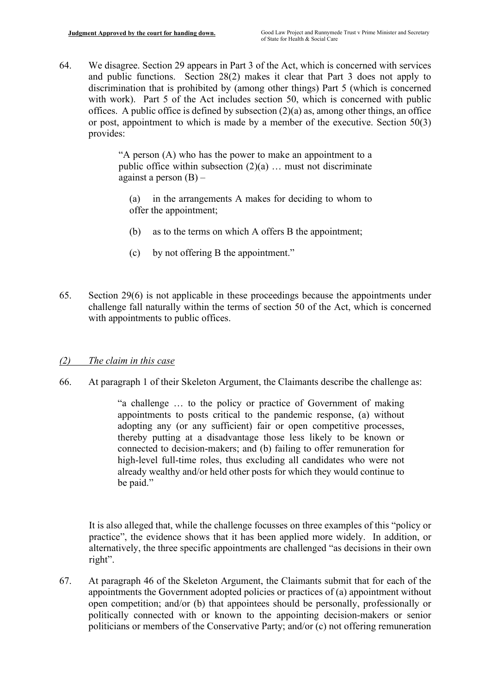64. We disagree. Section 29 appears in Part 3 of the Act, which is concerned with services and public functions. Section 28(2) makes it clear that Part 3 does not apply to discrimination that is prohibited by (among other things) Part 5 (which is concerned with work). Part 5 of the Act includes section 50, which is concerned with public offices. A public office is defined by subsection (2)(a) as, among other things, an office or post, appointment to which is made by a member of the executive. Section 50(3) provides:

> "A person (A) who has the power to make an appointment to a public office within subsection  $(2)(a)$  ... must not discriminate against a person  $(B)$  –

(a) in the arrangements A makes for deciding to whom to offer the appointment;

- (b) as to the terms on which A offers B the appointment;
- (c) by not offering B the appointment."
- 65. Section 29(6) is not applicable in these proceedings because the appointments under challenge fall naturally within the terms of section 50 of the Act, which is concerned with appointments to public offices.

## *(2) The claim in this case*

66. At paragraph 1 of their Skeleton Argument, the Claimants describe the challenge as:

"a challenge … to the policy or practice of Government of making appointments to posts critical to the pandemic response, (a) without adopting any (or any sufficient) fair or open competitive processes, thereby putting at a disadvantage those less likely to be known or connected to decision-makers; and (b) failing to offer remuneration for high-level full-time roles, thus excluding all candidates who were not already wealthy and/or held other posts for which they would continue to be paid."

It is also alleged that, while the challenge focusses on three examples of this "policy or practice", the evidence shows that it has been applied more widely. In addition, or alternatively, the three specific appointments are challenged "as decisions in their own right".

67. At paragraph 46 of the Skeleton Argument, the Claimants submit that for each of the appointments the Government adopted policies or practices of (a) appointment without open competition; and/or (b) that appointees should be personally, professionally or politically connected with or known to the appointing decision-makers or senior politicians or members of the Conservative Party; and/or (c) not offering remuneration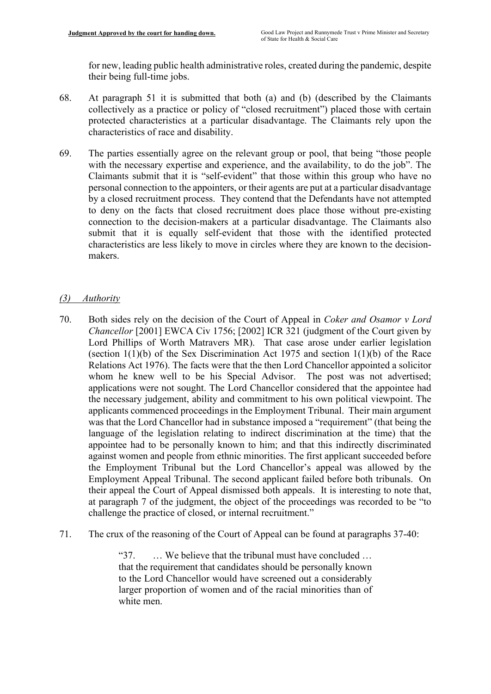for new, leading public health administrative roles, created during the pandemic, despite their being full-time jobs.

- 68. At paragraph 51 it is submitted that both (a) and (b) (described by the Claimants collectively as a practice or policy of "closed recruitment") placed those with certain protected characteristics at a particular disadvantage. The Claimants rely upon the characteristics of race and disability.
- 69. The parties essentially agree on the relevant group or pool, that being "those people with the necessary expertise and experience, and the availability, to do the job". The Claimants submit that it is "self-evident" that those within this group who have no personal connection to the appointers, or their agents are put at a particular disadvantage by a closed recruitment process. They contend that the Defendants have not attempted to deny on the facts that closed recruitment does place those without pre-existing connection to the decision-makers at a particular disadvantage. The Claimants also submit that it is equally self-evident that those with the identified protected characteristics are less likely to move in circles where they are known to the decisionmakers.

## *(3) Authority*

- 70. Both sides rely on the decision of the Court of Appeal in *Coker and Osamor v Lord Chancellor* [2001] EWCA Civ 1756; [2002] ICR 321 (judgment of the Court given by Lord Phillips of Worth Matravers MR). That case arose under earlier legislation (section  $1(1)(b)$  of the Sex Discrimination Act 1975 and section  $1(1)(b)$  of the Race Relations Act 1976). The facts were that the then Lord Chancellor appointed a solicitor whom he knew well to be his Special Advisor. The post was not advertised; applications were not sought. The Lord Chancellor considered that the appointee had the necessary judgement, ability and commitment to his own political viewpoint. The applicants commenced proceedings in the Employment Tribunal. Their main argument was that the Lord Chancellor had in substance imposed a "requirement" (that being the language of the legislation relating to indirect discrimination at the time) that the appointee had to be personally known to him; and that this indirectly discriminated against women and people from ethnic minorities. The first applicant succeeded before the Employment Tribunal but the Lord Chancellor's appeal was allowed by the Employment Appeal Tribunal. The second applicant failed before both tribunals. On their appeal the Court of Appeal dismissed both appeals. It is interesting to note that, at paragraph 7 of the judgment, the object of the proceedings was recorded to be "to challenge the practice of closed, or internal recruitment."
- 71. The crux of the reasoning of the Court of Appeal can be found at paragraphs 37-40:

"37. … We believe that the tribunal must have concluded … that the requirement that candidates should be personally known to the Lord Chancellor would have screened out a considerably larger proportion of women and of the racial minorities than of white men.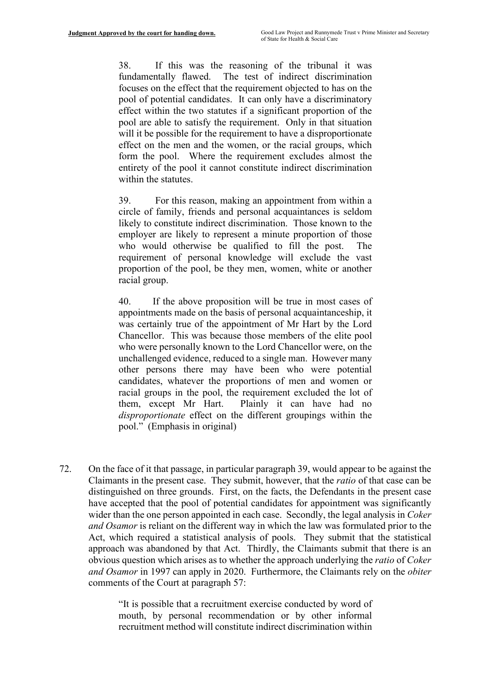38. If this was the reasoning of the tribunal it was fundamentally flawed. The test of indirect discrimination focuses on the effect that the requirement objected to has on the pool of potential candidates. It can only have a discriminatory effect within the two statutes if a significant proportion of the pool are able to satisfy the requirement. Only in that situation will it be possible for the requirement to have a disproportionate effect on the men and the women, or the racial groups, which form the pool. Where the requirement excludes almost the entirety of the pool it cannot constitute indirect discrimination within the statutes.

39. For this reason, making an appointment from within a circle of family, friends and personal acquaintances is seldom likely to constitute indirect discrimination. Those known to the employer are likely to represent a minute proportion of those who would otherwise be qualified to fill the post. The requirement of personal knowledge will exclude the vast proportion of the pool, be they men, women, white or another racial group.

40. If the above proposition will be true in most cases of appointments made on the basis of personal acquaintanceship, it was certainly true of the appointment of Mr Hart by the Lord Chancellor. This was because those members of the elite pool who were personally known to the Lord Chancellor were, on the unchallenged evidence, reduced to a single man. However many other persons there may have been who were potential candidates, whatever the proportions of men and women or racial groups in the pool, the requirement excluded the lot of them, except Mr Hart. Plainly it can have had no *disproportionate* effect on the different groupings within the pool." (Emphasis in original)

72. On the face of it that passage, in particular paragraph 39, would appear to be against the Claimants in the present case. They submit, however, that the *ratio* of that case can be distinguished on three grounds. First, on the facts, the Defendants in the present case have accepted that the pool of potential candidates for appointment was significantly wider than the one person appointed in each case. Secondly, the legal analysis in *Coker and Osamor* is reliant on the different way in which the law was formulated prior to the Act, which required a statistical analysis of pools. They submit that the statistical approach was abandoned by that Act. Thirdly, the Claimants submit that there is an obvious question which arises as to whether the approach underlying the *ratio* of *Coker and Osamor* in 1997 can apply in 2020. Furthermore, the Claimants rely on the *obiter* comments of the Court at paragraph 57:

> "It is possible that a recruitment exercise conducted by word of mouth, by personal recommendation or by other informal recruitment method will constitute indirect discrimination within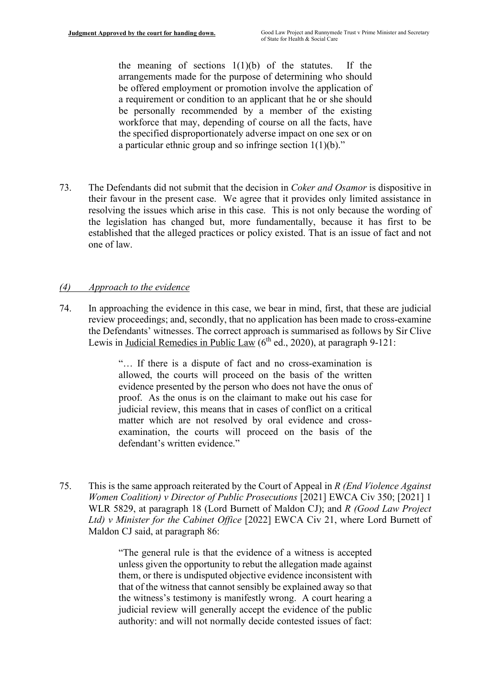the meaning of sections  $1(1)(b)$  of the statutes. If the arrangements made for the purpose of determining who should be offered employment or promotion involve the application of a requirement or condition to an applicant that he or she should be personally recommended by a member of the existing workforce that may, depending of course on all the facts, have the specified disproportionately adverse impact on one sex or on a particular ethnic group and so infringe section  $1(1)(b)$ ."

73. The Defendants did not submit that the decision in *Coker and Osamor* is dispositive in their favour in the present case. We agree that it provides only limited assistance in resolving the issues which arise in this case. This is not only because the wording of the legislation has changed but, more fundamentally, because it has first to be established that the alleged practices or policy existed. That is an issue of fact and not one of law.

#### *(4) Approach to the evidence*

74. In approaching the evidence in this case, we bear in mind, first, that these are judicial review proceedings; and, secondly, that no application has been made to cross-examine the Defendants' witnesses. The correct approach is summarised as follows by Sir Clive Lewis in Judicial Remedies in Public Law  $(6<sup>th</sup>$  ed., 2020), at paragraph 9-121:

> "… If there is a dispute of fact and no cross-examination is allowed, the courts will proceed on the basis of the written evidence presented by the person who does not have the onus of proof. As the onus is on the claimant to make out his case for judicial review, this means that in cases of conflict on a critical matter which are not resolved by oral evidence and crossexamination, the courts will proceed on the basis of the defendant's written evidence."

75. This is the same approach reiterated by the Court of Appeal in *R (End Violence Against Women Coalition) v Director of Public Prosecutions* [2021] EWCA Civ 350; [2021] 1 WLR 5829, at paragraph 18 (Lord Burnett of Maldon CJ); and *R (Good Law Project Ltd) v Minister for the Cabinet Office* [2022] EWCA Civ 21, where Lord Burnett of Maldon CJ said, at paragraph 86:

> "The general rule is that the evidence of a witness is accepted unless given the opportunity to rebut the allegation made against them, or there is undisputed objective evidence inconsistent with that of the witness that cannot sensibly be explained away so that the witness's testimony is manifestly wrong. A court hearing a judicial review will generally accept the evidence of the public authority: and will not normally decide contested issues of fact: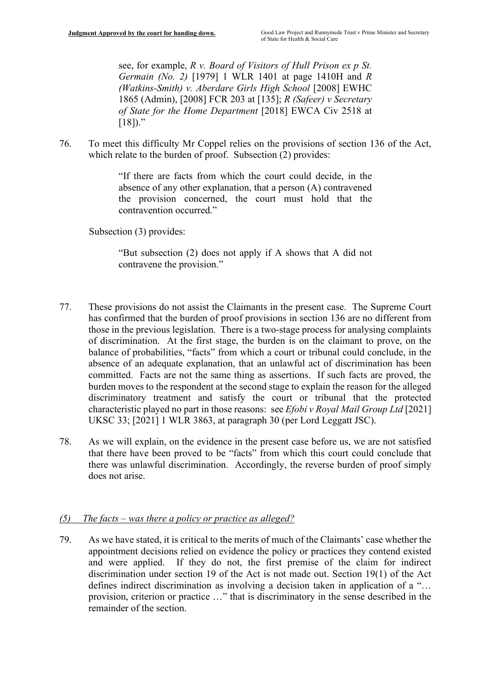see, for example, *R v. Board of Visitors of Hull Prison ex p St. Germain (No. 2)* [1979] 1 WLR 1401 at page 1410H and *R (Watkins-Smith) v. Aberdare Girls High School* [2008] EWHC 1865 (Admin), [2008] FCR 203 at [135]; *R (Safeer) v Secretary of State for the Home Department* [2018] EWCA Civ 2518 at  $[18]$ ."

76. To meet this difficulty Mr Coppel relies on the provisions of section 136 of the Act, which relate to the burden of proof. Subsection (2) provides:

> "If there are facts from which the court could decide, in the absence of any other explanation, that a person (A) contravened the provision concerned, the court must hold that the contravention occurred."

Subsection (3) provides:

"But subsection (2) does not apply if A shows that A did not contravene the provision."

- 77. These provisions do not assist the Claimants in the present case. The Supreme Court has confirmed that the burden of proof provisions in section 136 are no different from those in the previous legislation. There is a two-stage process for analysing complaints of discrimination. At the first stage, the burden is on the claimant to prove, on the balance of probabilities, "facts" from which a court or tribunal could conclude, in the absence of an adequate explanation, that an unlawful act of discrimination has been committed. Facts are not the same thing as assertions. If such facts are proved, the burden moves to the respondent at the second stage to explain the reason for the alleged discriminatory treatment and satisfy the court or tribunal that the protected characteristic played no part in those reasons: see *Efobi v Royal Mail Group Ltd* [2021] UKSC 33; [2021] 1 WLR 3863, at paragraph 30 (per Lord Leggatt JSC).
- 78. As we will explain, on the evidence in the present case before us, we are not satisfied that there have been proved to be "facts" from which this court could conclude that there was unlawful discrimination. Accordingly, the reverse burden of proof simply does not arise.

## *(5) The facts – was there a policy or practice as alleged?*

79. As we have stated, it is critical to the merits of much of the Claimants' case whether the appointment decisions relied on evidence the policy or practices they contend existed and were applied. If they do not, the first premise of the claim for indirect discrimination under section 19 of the Act is not made out. Section 19(1) of the Act defines indirect discrimination as involving a decision taken in application of a "… provision, criterion or practice …" that is discriminatory in the sense described in the remainder of the section.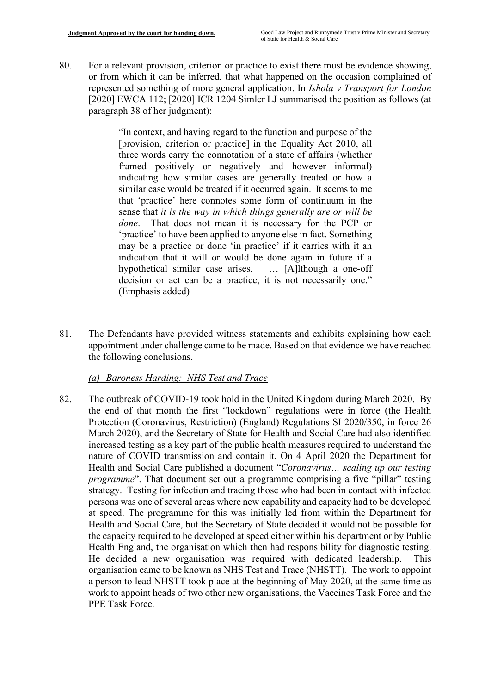80. For a relevant provision, criterion or practice to exist there must be evidence showing, or from which it can be inferred, that what happened on the occasion complained of represented something of more general application. In *Ishola v Transport for London* [2020] EWCA 112; [2020] ICR 1204 Simler LJ summarised the position as follows (at paragraph 38 of her judgment):

> "In context, and having regard to the function and purpose of the [provision, criterion or practice] in the Equality Act 2010, all three words carry the connotation of a state of affairs (whether framed positively or negatively and however informal) indicating how similar cases are generally treated or how a similar case would be treated if it occurred again. It seems to me that 'practice' here connotes some form of continuum in the sense that *it is the way in which things generally are or will be done*. That does not mean it is necessary for the PCP or 'practice' to have been applied to anyone else in fact. Something may be a practice or done 'in practice' if it carries with it an indication that it will or would be done again in future if a hypothetical similar case arises. … [A]lthough a one-off decision or act can be a practice, it is not necessarily one." (Emphasis added)

81. The Defendants have provided witness statements and exhibits explaining how each appointment under challenge came to be made. Based on that evidence we have reached the following conclusions.

## *(a) Baroness Harding: NHS Test and Trace*

82. The outbreak of COVID-19 took hold in the United Kingdom during March 2020. By the end of that month the first "lockdown" regulations were in force (the Health Protection (Coronavirus, Restriction) (England) Regulations SI 2020/350, in force 26 March 2020), and the Secretary of State for Health and Social Care had also identified increased testing as a key part of the public health measures required to understand the nature of COVID transmission and contain it. On 4 April 2020 the Department for Health and Social Care published a document "*Coronavirus… scaling up our testing programme*". That document set out a programme comprising a five "pillar" testing strategy. Testing for infection and tracing those who had been in contact with infected persons was one of several areas where new capability and capacity had to be developed at speed. The programme for this was initially led from within the Department for Health and Social Care, but the Secretary of State decided it would not be possible for the capacity required to be developed at speed either within his department or by Public Health England, the organisation which then had responsibility for diagnostic testing. He decided a new organisation was required with dedicated leadership. This organisation came to be known as NHS Test and Trace (NHSTT). The work to appoint a person to lead NHSTT took place at the beginning of May 2020, at the same time as work to appoint heads of two other new organisations, the Vaccines Task Force and the PPE Task Force.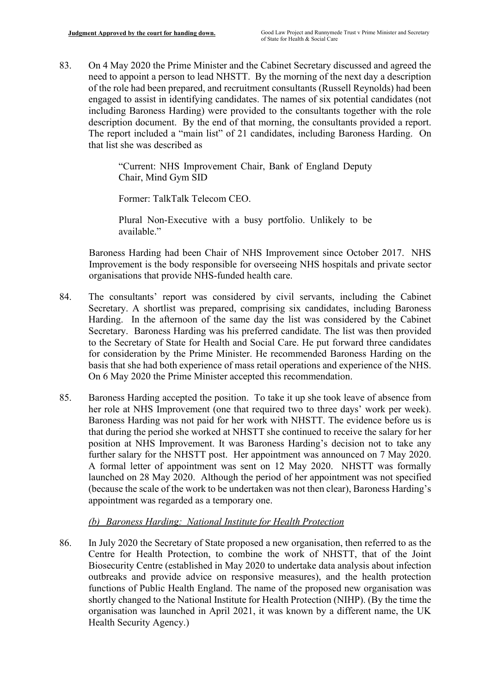83. On 4 May 2020 the Prime Minister and the Cabinet Secretary discussed and agreed the need to appoint a person to lead NHSTT. By the morning of the next day a description of the role had been prepared, and recruitment consultants (Russell Reynolds) had been engaged to assist in identifying candidates. The names of six potential candidates (not including Baroness Harding) were provided to the consultants together with the role description document. By the end of that morning, the consultants provided a report. The report included a "main list" of 21 candidates, including Baroness Harding. On that list she was described as

> "Current: NHS Improvement Chair, Bank of England Deputy Chair, Mind Gym SID

Former: TalkTalk Telecom CEO.

Plural Non-Executive with a busy portfolio. Unlikely to be available."

Baroness Harding had been Chair of NHS Improvement since October 2017. NHS Improvement is the body responsible for overseeing NHS hospitals and private sector organisations that provide NHS-funded health care.

- 84. The consultants' report was considered by civil servants, including the Cabinet Secretary. A shortlist was prepared, comprising six candidates, including Baroness Harding. In the afternoon of the same day the list was considered by the Cabinet Secretary. Baroness Harding was his preferred candidate. The list was then provided to the Secretary of State for Health and Social Care. He put forward three candidates for consideration by the Prime Minister. He recommended Baroness Harding on the basis that she had both experience of mass retail operations and experience of the NHS. On 6 May 2020 the Prime Minister accepted this recommendation.
- 85. Baroness Harding accepted the position. To take it up she took leave of absence from her role at NHS Improvement (one that required two to three days' work per week). Baroness Harding was not paid for her work with NHSTT. The evidence before us is that during the period she worked at NHSTT she continued to receive the salary for her position at NHS Improvement. It was Baroness Harding's decision not to take any further salary for the NHSTT post. Her appointment was announced on 7 May 2020. A formal letter of appointment was sent on 12 May 2020. NHSTT was formally launched on 28 May 2020. Although the period of her appointment was not specified (because the scale of the work to be undertaken was not then clear), Baroness Harding's appointment was regarded as a temporary one.

#### *(b) Baroness Harding: National Institute for Health Protection*

86. In July 2020 the Secretary of State proposed a new organisation, then referred to as the Centre for Health Protection, to combine the work of NHSTT, that of the Joint Biosecurity Centre (established in May 2020 to undertake data analysis about infection outbreaks and provide advice on responsive measures), and the health protection functions of Public Health England. The name of the proposed new organisation was shortly changed to the National Institute for Health Protection (NIHP). (By the time the organisation was launched in April 2021, it was known by a different name, the UK Health Security Agency.)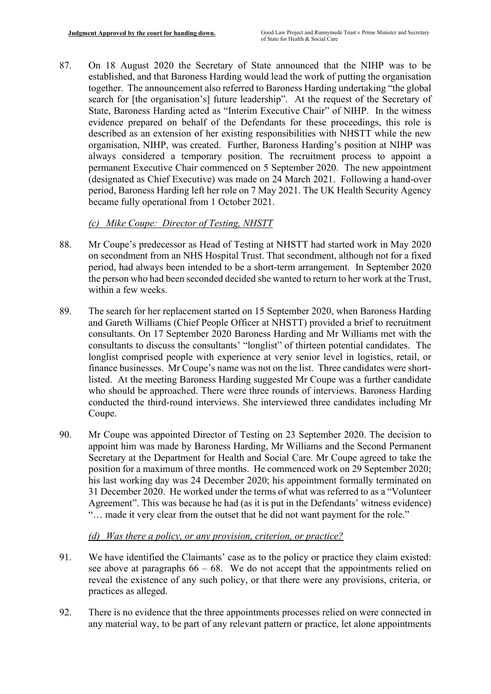87. On 18 August 2020 the Secretary of State announced that the NIHP was to be established, and that Baroness Harding would lead the work of putting the organisation together. The announcement also referred to Baroness Harding undertaking "the global search for [the organisation's] future leadership". At the request of the Secretary of State, Baroness Harding acted as "Interim Executive Chair" of NIHP. In the witness evidence prepared on behalf of the Defendants for these proceedings, this role is described as an extension of her existing responsibilities with NHSTT while the new organisation, NIHP, was created. Further, Baroness Harding's position at NIHP was always considered a temporary position. The recruitment process to appoint a permanent Executive Chair commenced on 5 September 2020. The new appointment (designated as Chief Executive) was made on 24 March 2021. Following a hand-over period, Baroness Harding left her role on 7 May 2021. The UK Health Security Agency became fully operational from 1 October 2021.

## *(c) Mike Coupe: Director of Testing, NHSTT*

- 88. Mr Coupe's predecessor as Head of Testing at NHSTT had started work in May 2020 on secondment from an NHS Hospital Trust. That secondment, although not for a fixed period, had always been intended to be a short-term arrangement. In September 2020 the person who had been seconded decided she wanted to return to her work at the Trust, within a few weeks.
- 89. The search for her replacement started on 15 September 2020, when Baroness Harding and Gareth Williams (Chief People Officer at NHSTT) provided a brief to recruitment consultants. On 17 September 2020 Baroness Harding and Mr Williams met with the consultants to discuss the consultants' "longlist" of thirteen potential candidates. The longlist comprised people with experience at very senior level in logistics, retail, or finance businesses. Mr Coupe's name was not on the list. Three candidates were shortlisted. At the meeting Baroness Harding suggested Mr Coupe was a further candidate who should be approached. There were three rounds of interviews. Baroness Harding conducted the third-round interviews. She interviewed three candidates including Mr Coupe.
- 90. Mr Coupe was appointed Director of Testing on 23 September 2020. The decision to appoint him was made by Baroness Harding, Mr Williams and the Second Permanent Secretary at the Department for Health and Social Care. Mr Coupe agreed to take the position for a maximum of three months. He commenced work on 29 September 2020; his last working day was 24 December 2020; his appointment formally terminated on 31 December 2020. He worked under the terms of what was referred to as a "Volunteer Agreement". This was because he had (as it is put in the Defendants' witness evidence) "… made it very clear from the outset that he did not want payment for the role."

*(d) Was there a policy, or any provision, criterion, or practice?*

- 91. We have identified the Claimants' case as to the policy or practice they claim existed: see above at paragraphs  $66 - 68$ . We do not accept that the appointments relied on reveal the existence of any such policy, or that there were any provisions, criteria, or practices as alleged.
- 92. There is no evidence that the three appointments processes relied on were connected in any material way, to be part of any relevant pattern or practice, let alone appointments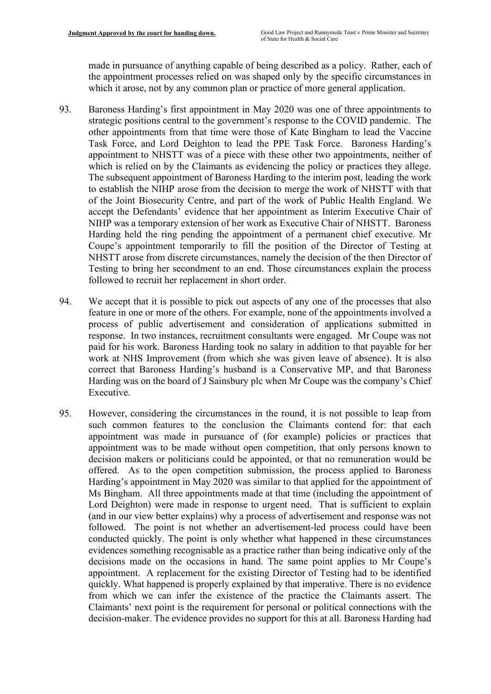made in pursuance of anything capable of being described as a policy. Rather, each of the appointment processes relied on was shaped only by the specific circumstances in which it arose, not by any common plan or practice of more general application.

- 93. Baroness Harding's first appointment in May 2020 was one of three appointments to strategic positions central to the government's response to the COVID pandemic. The other appointments from that time were those of Kate Bingham to lead the Vaccine Task Force, and Lord Deighton to lead the PPE Task Force. Baroness Harding's appointment to NHSTT was of a piece with these other two appointments, neither of which is relied on by the Claimants as evidencing the policy or practices they allege. The subsequent appointment of Baroness Harding to the interim post, leading the work to establish the NIHP arose from the decision to merge the work of NHSTT with that of the Joint Biosecurity Centre, and part of the work of Public Health England. We accept the Defendants' evidence that her appointment as Interim Executive Chair of NIHP was a temporary extension of her work as Executive Chair of NHSTT. Baroness Harding held the ring pending the appointment of a permanent chief executive. Mr Coupe's appointment temporarily to fill the position of the Director of Testing at NHSTT arose from discrete circumstances, namely the decision of the then Director of Testing to bring her secondment to an end. Those circumstances explain the process followed to recruit her replacement in short order.
- 94. We accept that it is possible to pick out aspects of any one of the processes that also feature in one or more of the others. For example, none of the appointments involved a process of public advertisement and consideration of applications submitted in response. In two instances, recruitment consultants were engaged. Mr Coupe was not paid for his work. Baroness Harding took no salary in addition to that payable for her work at NHS Improvement (from which she was given leave of absence). It is also correct that Baroness Harding's husband is a Conservative MP, and that Baroness Harding was on the board of J Sainsbury plc when Mr Coupe was the company's Chief Executive.
- 95. However, considering the circumstances in the round, it is not possible to leap from such common features to the conclusion the Claimants contend for: that each appointment was made in pursuance of (for example) policies or practices that appointment was to be made without open competition, that only persons known to decision makers or politicians could be appointed, or that no remuneration would be offered. As to the open competition submission, the process applied to Baroness Harding's appointment in May 2020 was similar to that applied for the appointment of Ms Bingham. All three appointments made at that time (including the appointment of Lord Deighton) were made in response to urgent need. That is sufficient to explain (and in our view better explains) why a process of advertisement and response was not followed. The point is not whether an advertisement-led process could have been conducted quickly. The point is only whether what happened in these circumstances evidences something recognisable as a practice rather than being indicative only of the decisions made on the occasions in hand. The same point applies to Mr Coupe's appointment. A replacement for the existing Director of Testing had to be identified quickly. What happened is properly explained by that imperative. There is no evidence from which we can infer the existence of the practice the Claimants assert. The Claimants' next point is the requirement for personal or political connections with the decision-maker. The evidence provides no support for this at all. Baroness Harding had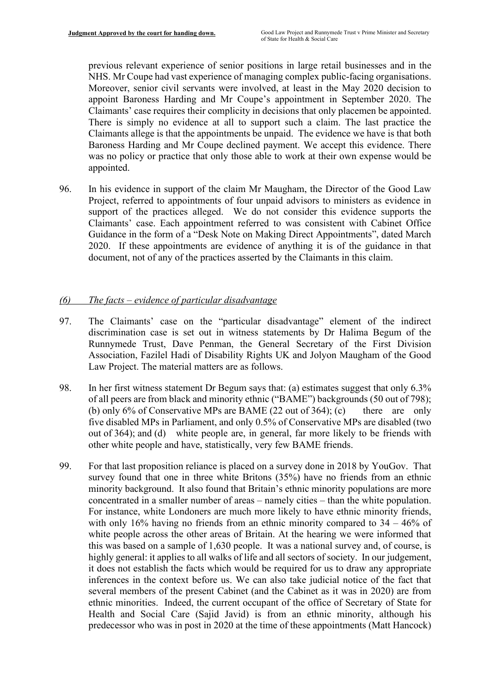previous relevant experience of senior positions in large retail businesses and in the NHS. Mr Coupe had vast experience of managing complex public-facing organisations. Moreover, senior civil servants were involved, at least in the May 2020 decision to appoint Baroness Harding and Mr Coupe's appointment in September 2020. The Claimants' case requires their complicity in decisions that only placemen be appointed. There is simply no evidence at all to support such a claim. The last practice the Claimants allege is that the appointments be unpaid. The evidence we have is that both Baroness Harding and Mr Coupe declined payment. We accept this evidence. There was no policy or practice that only those able to work at their own expense would be appointed.

96. In his evidence in support of the claim Mr Maugham, the Director of the Good Law Project, referred to appointments of four unpaid advisors to ministers as evidence in support of the practices alleged. We do not consider this evidence supports the Claimants' case. Each appointment referred to was consistent with Cabinet Office Guidance in the form of a "Desk Note on Making Direct Appointments", dated March 2020. If these appointments are evidence of anything it is of the guidance in that document, not of any of the practices asserted by the Claimants in this claim.

## *(6) The facts – evidence of particular disadvantage*

- 97. The Claimants' case on the "particular disadvantage" element of the indirect discrimination case is set out in witness statements by Dr Halima Begum of the Runnymede Trust, Dave Penman, the General Secretary of the First Division Association, Fazilel Hadi of Disability Rights UK and Jolyon Maugham of the Good Law Project. The material matters are as follows.
- 98. In her first witness statement Dr Begum says that: (a) estimates suggest that only 6.3% of all peers are from black and minority ethnic ("BAME") backgrounds (50 out of 798); (b) only  $6\%$  of Conservative MPs are BAME (22 out of 364); (c) there are only five disabled MPs in Parliament, and only 0.5% of Conservative MPs are disabled (two out of 364); and (d) white people are, in general, far more likely to be friends with other white people and have, statistically, very few BAME friends.
- 99. For that last proposition reliance is placed on a survey done in 2018 by YouGov. That survey found that one in three white Britons (35%) have no friends from an ethnic minority background. It also found that Britain's ethnic minority populations are more concentrated in a smaller number of areas – namely cities – than the white population. For instance, white Londoners are much more likely to have ethnic minority friends, with only 16% having no friends from an ethnic minority compared to  $34 - 46\%$  of white people across the other areas of Britain. At the hearing we were informed that this was based on a sample of 1,630 people. It was a national survey and, of course, is highly general: it applies to all walks of life and all sectors of society. In our judgement, it does not establish the facts which would be required for us to draw any appropriate inferences in the context before us. We can also take judicial notice of the fact that several members of the present Cabinet (and the Cabinet as it was in 2020) are from ethnic minorities. Indeed, the current occupant of the office of Secretary of State for Health and Social Care (Sajid Javid) is from an ethnic minority, although his predecessor who was in post in 2020 at the time of these appointments (Matt Hancock)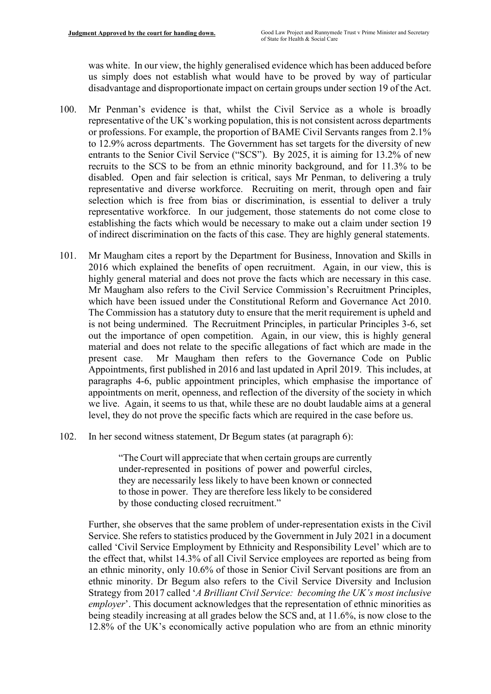was white. In our view, the highly generalised evidence which has been adduced before us simply does not establish what would have to be proved by way of particular disadvantage and disproportionate impact on certain groups under section 19 of the Act.

- 100. Mr Penman's evidence is that, whilst the Civil Service as a whole is broadly representative of the UK's working population, this is not consistent across departments or professions. For example, the proportion of BAME Civil Servants ranges from 2.1% to 12.9% across departments. The Government has set targets for the diversity of new entrants to the Senior Civil Service ("SCS"). By 2025, it is aiming for 13.2% of new recruits to the SCS to be from an ethnic minority background, and for 11.3% to be disabled. Open and fair selection is critical, says Mr Penman, to delivering a truly representative and diverse workforce. Recruiting on merit, through open and fair selection which is free from bias or discrimination, is essential to deliver a truly representative workforce. In our judgement, those statements do not come close to establishing the facts which would be necessary to make out a claim under section 19 of indirect discrimination on the facts of this case. They are highly general statements.
- 101. Mr Maugham cites a report by the Department for Business, Innovation and Skills in 2016 which explained the benefits of open recruitment. Again, in our view, this is highly general material and does not prove the facts which are necessary in this case. Mr Maugham also refers to the Civil Service Commission's Recruitment Principles, which have been issued under the Constitutional Reform and Governance Act 2010. The Commission has a statutory duty to ensure that the merit requirement is upheld and is not being undermined. The Recruitment Principles, in particular Principles 3-6, set out the importance of open competition. Again, in our view, this is highly general material and does not relate to the specific allegations of fact which are made in the present case. Mr Maugham then refers to the Governance Code on Public Appointments, first published in 2016 and last updated in April 2019. This includes, at paragraphs 4-6, public appointment principles, which emphasise the importance of appointments on merit, openness, and reflection of the diversity of the society in which we live. Again, it seems to us that, while these are no doubt laudable aims at a general level, they do not prove the specific facts which are required in the case before us.
- 102. In her second witness statement, Dr Begum states (at paragraph 6):

"The Court will appreciate that when certain groups are currently under-represented in positions of power and powerful circles, they are necessarily less likely to have been known or connected to those in power. They are therefore less likely to be considered by those conducting closed recruitment."

Further, she observes that the same problem of under-representation exists in the Civil Service. She refers to statistics produced by the Government in July 2021 in a document called 'Civil Service Employment by Ethnicity and Responsibility Level' which are to the effect that, whilst 14.3% of all Civil Service employees are reported as being from an ethnic minority, only 10.6% of those in Senior Civil Servant positions are from an ethnic minority. Dr Begum also refers to the Civil Service Diversity and Inclusion Strategy from 2017 called '*A Brilliant Civil Service: becoming the UK's most inclusive employer*'. This document acknowledges that the representation of ethnic minorities as being steadily increasing at all grades below the SCS and, at 11.6%, is now close to the 12.8% of the UK's economically active population who are from an ethnic minority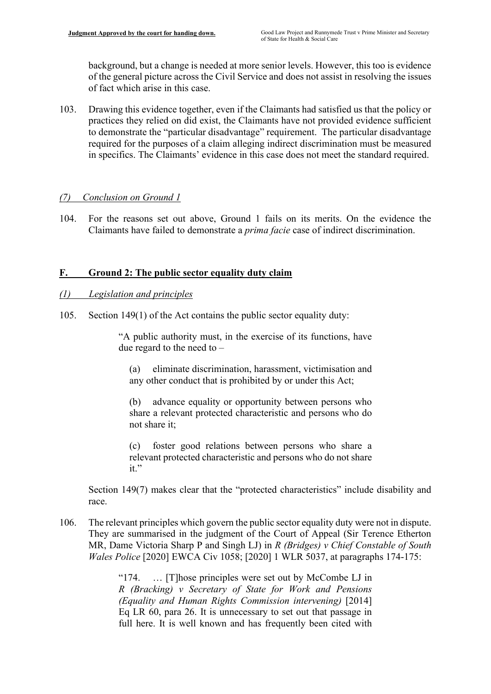background, but a change is needed at more senior levels. However, this too is evidence of the general picture across the Civil Service and does not assist in resolving the issues of fact which arise in this case.

103. Drawing this evidence together, even if the Claimants had satisfied us that the policy or practices they relied on did exist, the Claimants have not provided evidence sufficient to demonstrate the "particular disadvantage" requirement. The particular disadvantage required for the purposes of a claim alleging indirect discrimination must be measured in specifics. The Claimants' evidence in this case does not meet the standard required.

#### *(7) Conclusion on Ground 1*

104. For the reasons set out above, Ground 1 fails on its merits. On the evidence the Claimants have failed to demonstrate a *prima facie* case of indirect discrimination.

## **F. Ground 2: The public sector equality duty claim**

#### *(1) Legislation and principles*

105. Section 149(1) of the Act contains the public sector equality duty:

"A public authority must, in the exercise of its functions, have due regard to the need to  $-$ 

(a) eliminate discrimination, harassment, victimisation and any other conduct that is prohibited by or under this Act;

(b) advance equality or opportunity between persons who share a relevant protected characteristic and persons who do not share it;

(c) foster good relations between persons who share a relevant protected characteristic and persons who do not share it."

Section 149(7) makes clear that the "protected characteristics" include disability and race.

106. The relevant principles which govern the public sector equality duty were not in dispute. They are summarised in the judgment of the Court of Appeal (Sir Terence Etherton MR, Dame Victoria Sharp P and Singh LJ) in *R (Bridges) v Chief Constable of South Wales Police* [2020] EWCA Civ 1058; [2020] 1 WLR 5037, at paragraphs 174-175:

> "174. … [T]hose principles were set out by McCombe LJ in *R (Bracking) v Secretary of State for Work and Pensions (Equality and Human Rights Commission intervening)* [2014] Eq LR 60, para 26. It is unnecessary to set out that passage in full here. It is well known and has frequently been cited with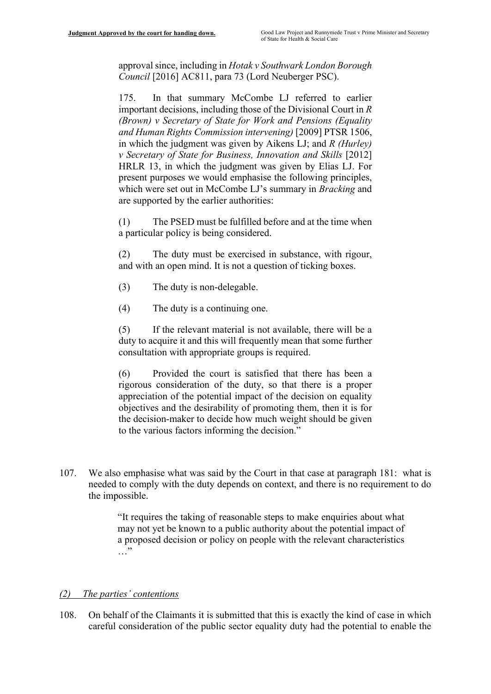approval since, including in *Hotak v Southwark London Borough Council* [2016] AC811, para 73 (Lord Neuberger PSC).

175. In that summary McCombe LJ referred to earlier important decisions, including those of the Divisional Court in *R (Brown) v Secretary of State for Work and Pensions (Equality and Human Rights Commission intervening)* [2009] PTSR 1506, in which the judgment was given by Aikens LJ; and *R (Hurley) v Secretary of State for Business, Innovation and Skills* [2012] HRLR 13, in which the judgment was given by Elias LJ. For present purposes we would emphasise the following principles, which were set out in McCombe LJ's summary in *Bracking* and are supported by the earlier authorities:

(1) The PSED must be fulfilled before and at the time when a particular policy is being considered.

(2) The duty must be exercised in substance, with rigour, and with an open mind. It is not a question of ticking boxes.

- (3) The duty is non-delegable.
- (4) The duty is a continuing one.

(5) If the relevant material is not available, there will be a duty to acquire it and this will frequently mean that some further consultation with appropriate groups is required.

(6) Provided the court is satisfied that there has been a rigorous consideration of the duty, so that there is a proper appreciation of the potential impact of the decision on equality objectives and the desirability of promoting them, then it is for the decision-maker to decide how much weight should be given to the various factors informing the decision."

107. We also emphasise what was said by the Court in that case at paragraph 181: what is needed to comply with the duty depends on context, and there is no requirement to do the impossible.

> "It requires the taking of reasonable steps to make enquiries about what may not yet be known to a public authority about the potential impact of a proposed decision or policy on people with the relevant characteristics …"

#### *(2) The parties' contentions*

108. On behalf of the Claimants it is submitted that this is exactly the kind of case in which careful consideration of the public sector equality duty had the potential to enable the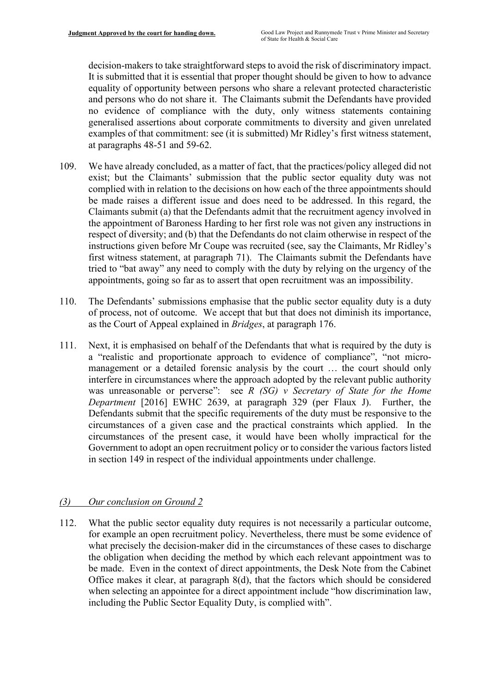decision-makers to take straightforward steps to avoid the risk of discriminatory impact. It is submitted that it is essential that proper thought should be given to how to advance equality of opportunity between persons who share a relevant protected characteristic and persons who do not share it. The Claimants submit the Defendants have provided no evidence of compliance with the duty, only witness statements containing generalised assertions about corporate commitments to diversity and given unrelated examples of that commitment: see (it is submitted) Mr Ridley's first witness statement, at paragraphs 48-51 and 59-62.

- 109. We have already concluded, as a matter of fact, that the practices/policy alleged did not exist; but the Claimants' submission that the public sector equality duty was not complied with in relation to the decisions on how each of the three appointments should be made raises a different issue and does need to be addressed. In this regard, the Claimants submit (a) that the Defendants admit that the recruitment agency involved in the appointment of Baroness Harding to her first role was not given any instructions in respect of diversity; and (b) that the Defendants do not claim otherwise in respect of the instructions given before Mr Coupe was recruited (see, say the Claimants, Mr Ridley's first witness statement, at paragraph 71). The Claimants submit the Defendants have tried to "bat away" any need to comply with the duty by relying on the urgency of the appointments, going so far as to assert that open recruitment was an impossibility.
- 110. The Defendants' submissions emphasise that the public sector equality duty is a duty of process, not of outcome. We accept that but that does not diminish its importance, as the Court of Appeal explained in *Bridges*, at paragraph 176.
- 111. Next, it is emphasised on behalf of the Defendants that what is required by the duty is a "realistic and proportionate approach to evidence of compliance", "not micromanagement or a detailed forensic analysis by the court … the court should only interfere in circumstances where the approach adopted by the relevant public authority was unreasonable or perverse": see *R (SG) v Secretary of State for the Home Department* [2016] EWHC 2639, at paragraph 329 (per Flaux J). Further, the Defendants submit that the specific requirements of the duty must be responsive to the circumstances of a given case and the practical constraints which applied. In the circumstances of the present case, it would have been wholly impractical for the Government to adopt an open recruitment policy or to consider the various factors listed in section 149 in respect of the individual appointments under challenge.

# *(3) Our conclusion on Ground 2*

112. What the public sector equality duty requires is not necessarily a particular outcome, for example an open recruitment policy. Nevertheless, there must be some evidence of what precisely the decision-maker did in the circumstances of these cases to discharge the obligation when deciding the method by which each relevant appointment was to be made. Even in the context of direct appointments, the Desk Note from the Cabinet Office makes it clear, at paragraph 8(d), that the factors which should be considered when selecting an appointee for a direct appointment include "how discrimination law, including the Public Sector Equality Duty, is complied with".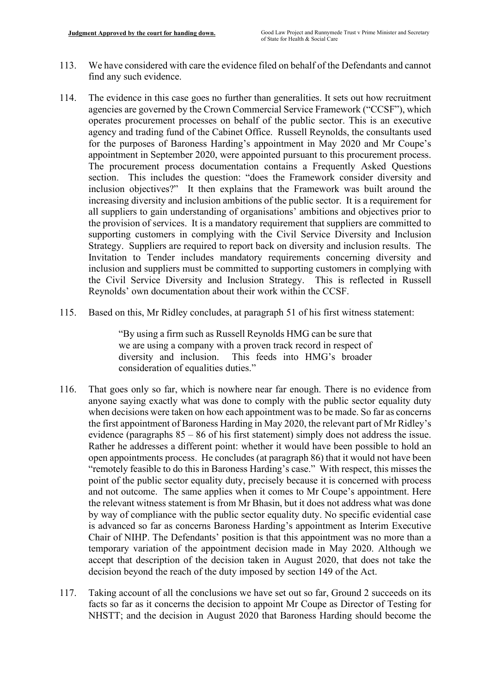- 113. We have considered with care the evidence filed on behalf of the Defendants and cannot find any such evidence.
- 114. The evidence in this case goes no further than generalities. It sets out how recruitment agencies are governed by the Crown Commercial Service Framework ("CCSF"), which operates procurement processes on behalf of the public sector. This is an executive agency and trading fund of the Cabinet Office. Russell Reynolds, the consultants used for the purposes of Baroness Harding's appointment in May 2020 and Mr Coupe's appointment in September 2020, were appointed pursuant to this procurement process. The procurement process documentation contains a Frequently Asked Questions section. This includes the question: "does the Framework consider diversity and inclusion objectives?" It then explains that the Framework was built around the increasing diversity and inclusion ambitions of the public sector. It is a requirement for all suppliers to gain understanding of organisations' ambitions and objectives prior to the provision of services. It is a mandatory requirement that suppliers are committed to supporting customers in complying with the Civil Service Diversity and Inclusion Strategy. Suppliers are required to report back on diversity and inclusion results. The Invitation to Tender includes mandatory requirements concerning diversity and inclusion and suppliers must be committed to supporting customers in complying with the Civil Service Diversity and Inclusion Strategy. This is reflected in Russell Reynolds' own documentation about their work within the CCSF.
- 115. Based on this, Mr Ridley concludes, at paragraph 51 of his first witness statement:

"By using a firm such as Russell Reynolds HMG can be sure that we are using a company with a proven track record in respect of diversity and inclusion. This feeds into HMG's broader consideration of equalities duties."

- 116. That goes only so far, which is nowhere near far enough. There is no evidence from anyone saying exactly what was done to comply with the public sector equality duty when decisions were taken on how each appointment was to be made. So far as concerns the first appointment of Baroness Harding in May 2020, the relevant part of Mr Ridley's evidence (paragraphs 85 – 86 of his first statement) simply does not address the issue. Rather he addresses a different point: whether it would have been possible to hold an open appointments process. He concludes (at paragraph 86) that it would not have been "remotely feasible to do this in Baroness Harding's case." With respect, this misses the point of the public sector equality duty, precisely because it is concerned with process and not outcome. The same applies when it comes to Mr Coupe's appointment. Here the relevant witness statement is from Mr Bhasin, but it does not address what was done by way of compliance with the public sector equality duty. No specific evidential case is advanced so far as concerns Baroness Harding's appointment as Interim Executive Chair of NIHP. The Defendants' position is that this appointment was no more than a temporary variation of the appointment decision made in May 2020. Although we accept that description of the decision taken in August 2020, that does not take the decision beyond the reach of the duty imposed by section 149 of the Act.
- 117. Taking account of all the conclusions we have set out so far, Ground 2 succeeds on its facts so far as it concerns the decision to appoint Mr Coupe as Director of Testing for NHSTT; and the decision in August 2020 that Baroness Harding should become the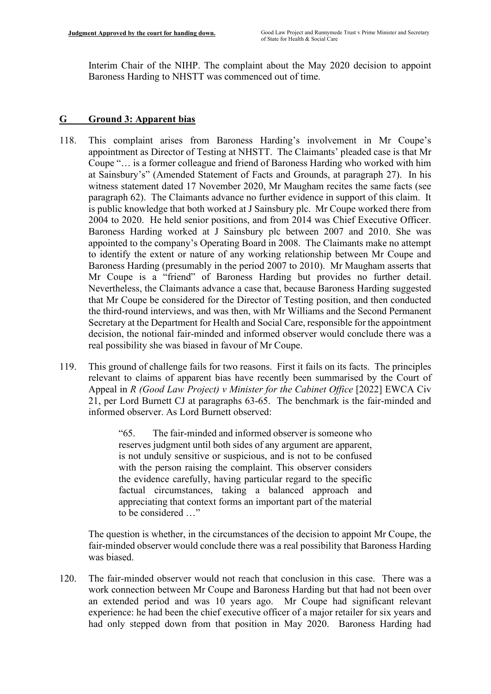Interim Chair of the NIHP. The complaint about the May 2020 decision to appoint Baroness Harding to NHSTT was commenced out of time.

## **G Ground 3: Apparent bias**

- 118. This complaint arises from Baroness Harding's involvement in Mr Coupe's appointment as Director of Testing at NHSTT. The Claimants' pleaded case is that Mr Coupe "… is a former colleague and friend of Baroness Harding who worked with him at Sainsbury's" (Amended Statement of Facts and Grounds, at paragraph 27). In his witness statement dated 17 November 2020, Mr Maugham recites the same facts (see paragraph 62). The Claimants advance no further evidence in support of this claim. It is public knowledge that both worked at J Sainsbury plc. Mr Coupe worked there from 2004 to 2020. He held senior positions, and from 2014 was Chief Executive Officer. Baroness Harding worked at J Sainsbury plc between 2007 and 2010. She was appointed to the company's Operating Board in 2008. The Claimants make no attempt to identify the extent or nature of any working relationship between Mr Coupe and Baroness Harding (presumably in the period 2007 to 2010). Mr Maugham asserts that Mr Coupe is a "friend" of Baroness Harding but provides no further detail. Nevertheless, the Claimants advance a case that, because Baroness Harding suggested that Mr Coupe be considered for the Director of Testing position, and then conducted the third-round interviews, and was then, with Mr Williams and the Second Permanent Secretary at the Department for Health and Social Care, responsible for the appointment decision, the notional fair-minded and informed observer would conclude there was a real possibility she was biased in favour of Mr Coupe.
- 119. This ground of challenge fails for two reasons. First it fails on its facts. The principles relevant to claims of apparent bias have recently been summarised by the Court of Appeal in *R (Good Law Project) v Minister for the Cabinet Office* [2022] EWCA Civ 21, per Lord Burnett CJ at paragraphs 63-65. The benchmark is the fair-minded and informed observer. As Lord Burnett observed:

"65. The fair-minded and informed observer is someone who reserves judgment until both sides of any argument are apparent, is not unduly sensitive or suspicious, and is not to be confused with the person raising the complaint. This observer considers the evidence carefully, having particular regard to the specific factual circumstances, taking a balanced approach and appreciating that context forms an important part of the material to be considered …"

 The question is whether, in the circumstances of the decision to appoint Mr Coupe, the fair-minded observer would conclude there was a real possibility that Baroness Harding was biased.

120. The fair-minded observer would not reach that conclusion in this case. There was a work connection between Mr Coupe and Baroness Harding but that had not been over an extended period and was 10 years ago. Mr Coupe had significant relevant experience: he had been the chief executive officer of a major retailer for six years and had only stepped down from that position in May 2020. Baroness Harding had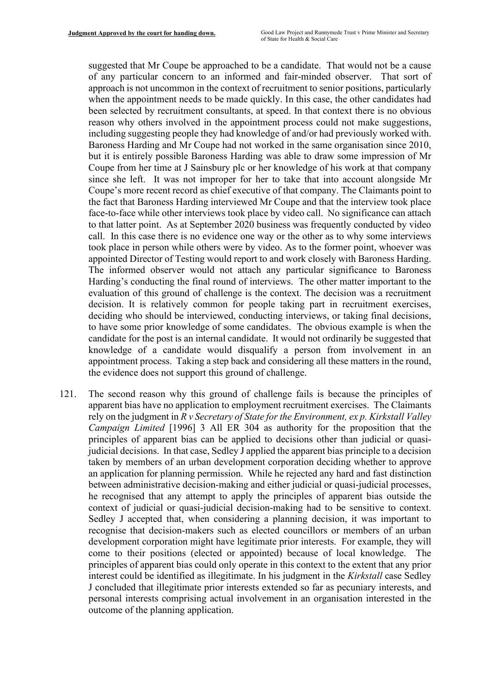suggested that Mr Coupe be approached to be a candidate. That would not be a cause of any particular concern to an informed and fair-minded observer. That sort of approach is not uncommon in the context of recruitment to senior positions, particularly when the appointment needs to be made quickly. In this case, the other candidates had been selected by recruitment consultants, at speed. In that context there is no obvious reason why others involved in the appointment process could not make suggestions, including suggesting people they had knowledge of and/or had previously worked with. Baroness Harding and Mr Coupe had not worked in the same organisation since 2010, but it is entirely possible Baroness Harding was able to draw some impression of Mr Coupe from her time at J Sainsbury plc or her knowledge of his work at that company since she left. It was not improper for her to take that into account alongside Mr Coupe's more recent record as chief executive of that company. The Claimants point to the fact that Baroness Harding interviewed Mr Coupe and that the interview took place face-to-face while other interviews took place by video call. No significance can attach to that latter point. As at September 2020 business was frequently conducted by video call. In this case there is no evidence one way or the other as to why some interviews took place in person while others were by video. As to the former point, whoever was appointed Director of Testing would report to and work closely with Baroness Harding. The informed observer would not attach any particular significance to Baroness Harding's conducting the final round of interviews. The other matter important to the evaluation of this ground of challenge is the context. The decision was a recruitment decision. It is relatively common for people taking part in recruitment exercises, deciding who should be interviewed, conducting interviews, or taking final decisions, to have some prior knowledge of some candidates. The obvious example is when the candidate for the post is an internal candidate. It would not ordinarily be suggested that knowledge of a candidate would disqualify a person from involvement in an appointment process. Taking a step back and considering all these matters in the round, the evidence does not support this ground of challenge.

121. The second reason why this ground of challenge fails is because the principles of apparent bias have no application to employment recruitment exercises. The Claimants rely on the judgment in *R v Secretary of State for the Environment, ex p. Kirkstall Valley Campaign Limited* [1996] 3 All ER 304 as authority for the proposition that the principles of apparent bias can be applied to decisions other than judicial or quasijudicial decisions. In that case, Sedley J applied the apparent bias principle to a decision taken by members of an urban development corporation deciding whether to approve an application for planning permission. While he rejected any hard and fast distinction between administrative decision-making and either judicial or quasi-judicial processes, he recognised that any attempt to apply the principles of apparent bias outside the context of judicial or quasi-judicial decision-making had to be sensitive to context. Sedley J accepted that, when considering a planning decision, it was important to recognise that decision-makers such as elected councillors or members of an urban development corporation might have legitimate prior interests. For example, they will come to their positions (elected or appointed) because of local knowledge. The principles of apparent bias could only operate in this context to the extent that any prior interest could be identified as illegitimate. In his judgment in the *Kirkstall* case Sedley J concluded that illegitimate prior interests extended so far as pecuniary interests, and personal interests comprising actual involvement in an organisation interested in the outcome of the planning application.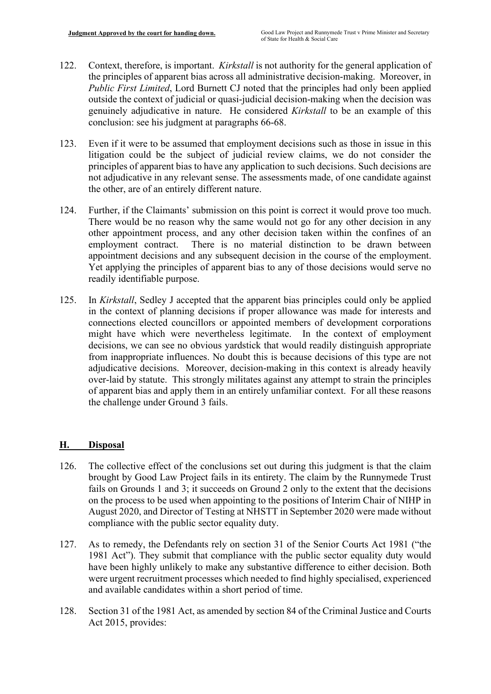- 122. Context, therefore, is important. *Kirkstall* is not authority for the general application of the principles of apparent bias across all administrative decision-making. Moreover, in *Public First Limited*, Lord Burnett CJ noted that the principles had only been applied outside the context of judicial or quasi-judicial decision-making when the decision was genuinely adjudicative in nature. He considered *Kirkstall* to be an example of this conclusion: see his judgment at paragraphs 66-68.
- 123. Even if it were to be assumed that employment decisions such as those in issue in this litigation could be the subject of judicial review claims, we do not consider the principles of apparent bias to have any application to such decisions. Such decisions are not adjudicative in any relevant sense. The assessments made, of one candidate against the other, are of an entirely different nature.
- 124. Further, if the Claimants' submission on this point is correct it would prove too much. There would be no reason why the same would not go for any other decision in any other appointment process, and any other decision taken within the confines of an employment contract. There is no material distinction to be drawn between appointment decisions and any subsequent decision in the course of the employment. Yet applying the principles of apparent bias to any of those decisions would serve no readily identifiable purpose.
- 125. In *Kirkstall*, Sedley J accepted that the apparent bias principles could only be applied in the context of planning decisions if proper allowance was made for interests and connections elected councillors or appointed members of development corporations might have which were nevertheless legitimate. In the context of employment decisions, we can see no obvious yardstick that would readily distinguish appropriate from inappropriate influences. No doubt this is because decisions of this type are not adjudicative decisions. Moreover, decision-making in this context is already heavily over-laid by statute. This strongly militates against any attempt to strain the principles of apparent bias and apply them in an entirely unfamiliar context. For all these reasons the challenge under Ground 3 fails.

# **H. Disposal**

- 126. The collective effect of the conclusions set out during this judgment is that the claim brought by Good Law Project fails in its entirety. The claim by the Runnymede Trust fails on Grounds 1 and 3; it succeeds on Ground 2 only to the extent that the decisions on the process to be used when appointing to the positions of Interim Chair of NIHP in August 2020, and Director of Testing at NHSTT in September 2020 were made without compliance with the public sector equality duty.
- 127. As to remedy, the Defendants rely on section 31 of the Senior Courts Act 1981 ("the 1981 Act"). They submit that compliance with the public sector equality duty would have been highly unlikely to make any substantive difference to either decision. Both were urgent recruitment processes which needed to find highly specialised, experienced and available candidates within a short period of time.
- 128. Section 31 of the 1981 Act, as amended by section 84 of the Criminal Justice and Courts Act 2015, provides: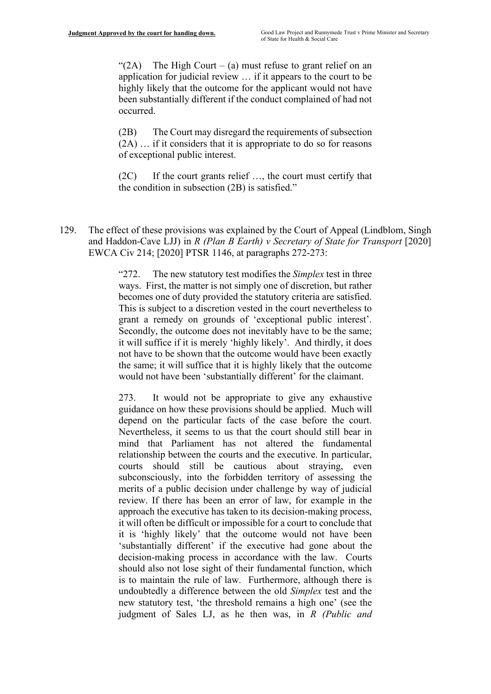" $(2A)$  The High Court – (a) must refuse to grant relief on an application for judicial review … if it appears to the court to be highly likely that the outcome for the applicant would not have been substantially different if the conduct complained of had not occurred.

(2B) The Court may disregard the requirements of subsection (2A) … if it considers that it is appropriate to do so for reasons of exceptional public interest.

(2C) If the court grants relief …, the court must certify that the condition in subsection (2B) is satisfied."

129. The effect of these provisions was explained by the Court of Appeal (Lindblom, Singh and Haddon-Cave LJJ) in *R (Plan B Earth) v Secretary of State for Transport* [2020] EWCA Civ 214; [2020] PTSR 1146, at paragraphs 272-273:

> "272. The new statutory test modifies the *Simplex* test in three ways. First, the matter is not simply one of discretion, but rather becomes one of duty provided the statutory criteria are satisfied. This is subject to a discretion vested in the court nevertheless to grant a remedy on grounds of 'exceptional public interest'. Secondly, the outcome does not inevitably have to be the same; it will suffice if it is merely 'highly likely'. And thirdly, it does not have to be shown that the outcome would have been exactly the same; it will suffice that it is highly likely that the outcome would not have been 'substantially different' for the claimant.

273. It would not be appropriate to give any exhaustive guidance on how these provisions should be applied. Much will depend on the particular facts of the case before the court. Nevertheless, it seems to us that the court should still bear in mind that Parliament has not altered the fundamental relationship between the courts and the executive. In particular, courts should still be cautious about straying, even subconsciously, into the forbidden territory of assessing the merits of a public decision under challenge by way of judicial review. If there has been an error of law, for example in the approach the executive has taken to its decision-making process, it will often be difficult or impossible for a court to conclude that it is 'highly likely' that the outcome would not have been 'substantially different' if the executive had gone about the decision-making process in accordance with the law. Courts should also not lose sight of their fundamental function, which is to maintain the rule of law. Furthermore, although there is undoubtedly a difference between the old *Simplex* test and the new statutory test, 'the threshold remains a high one' (see the judgment of Sales LJ, as he then was, in *R (Public and*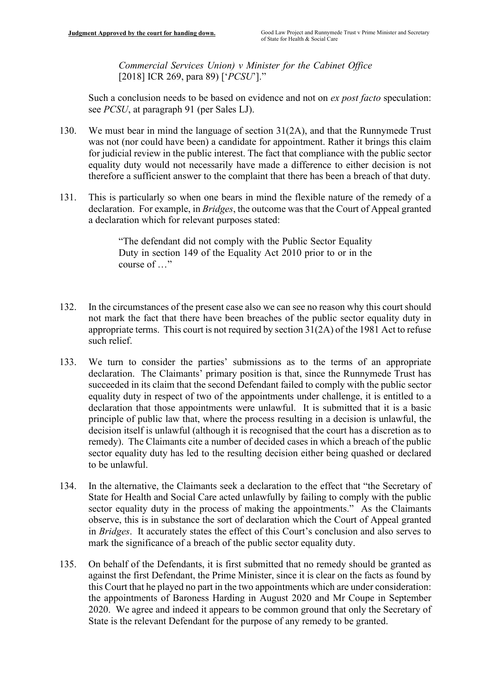*Commercial Services Union) v Minister for the Cabinet Office*  [2018] ICR 269, para 89) ['*PCSU*']."

Such a conclusion needs to be based on evidence and not on *ex post facto* speculation: see *PCSU*, at paragraph 91 (per Sales LJ).

- 130. We must bear in mind the language of section 31(2A), and that the Runnymede Trust was not (nor could have been) a candidate for appointment. Rather it brings this claim for judicial review in the public interest. The fact that compliance with the public sector equality duty would not necessarily have made a difference to either decision is not therefore a sufficient answer to the complaint that there has been a breach of that duty.
- 131. This is particularly so when one bears in mind the flexible nature of the remedy of a declaration. For example, in *Bridges*, the outcome was that the Court of Appeal granted a declaration which for relevant purposes stated:

"The defendant did not comply with the Public Sector Equality Duty in section 149 of the Equality Act 2010 prior to or in the course of …"

- 132. In the circumstances of the present case also we can see no reason why this court should not mark the fact that there have been breaches of the public sector equality duty in appropriate terms. This court is not required by section 31(2A) of the 1981 Act to refuse such relief.
- 133. We turn to consider the parties' submissions as to the terms of an appropriate declaration. The Claimants' primary position is that, since the Runnymede Trust has succeeded in its claim that the second Defendant failed to comply with the public sector equality duty in respect of two of the appointments under challenge, it is entitled to a declaration that those appointments were unlawful. It is submitted that it is a basic principle of public law that, where the process resulting in a decision is unlawful, the decision itself is unlawful (although it is recognised that the court has a discretion as to remedy). The Claimants cite a number of decided cases in which a breach of the public sector equality duty has led to the resulting decision either being quashed or declared to be unlawful.
- 134. In the alternative, the Claimants seek a declaration to the effect that "the Secretary of State for Health and Social Care acted unlawfully by failing to comply with the public sector equality duty in the process of making the appointments." As the Claimants observe, this is in substance the sort of declaration which the Court of Appeal granted in *Bridges*. It accurately states the effect of this Court's conclusion and also serves to mark the significance of a breach of the public sector equality duty.
- 135. On behalf of the Defendants, it is first submitted that no remedy should be granted as against the first Defendant, the Prime Minister, since it is clear on the facts as found by this Court that he played no part in the two appointments which are under consideration: the appointments of Baroness Harding in August 2020 and Mr Coupe in September 2020. We agree and indeed it appears to be common ground that only the Secretary of State is the relevant Defendant for the purpose of any remedy to be granted.